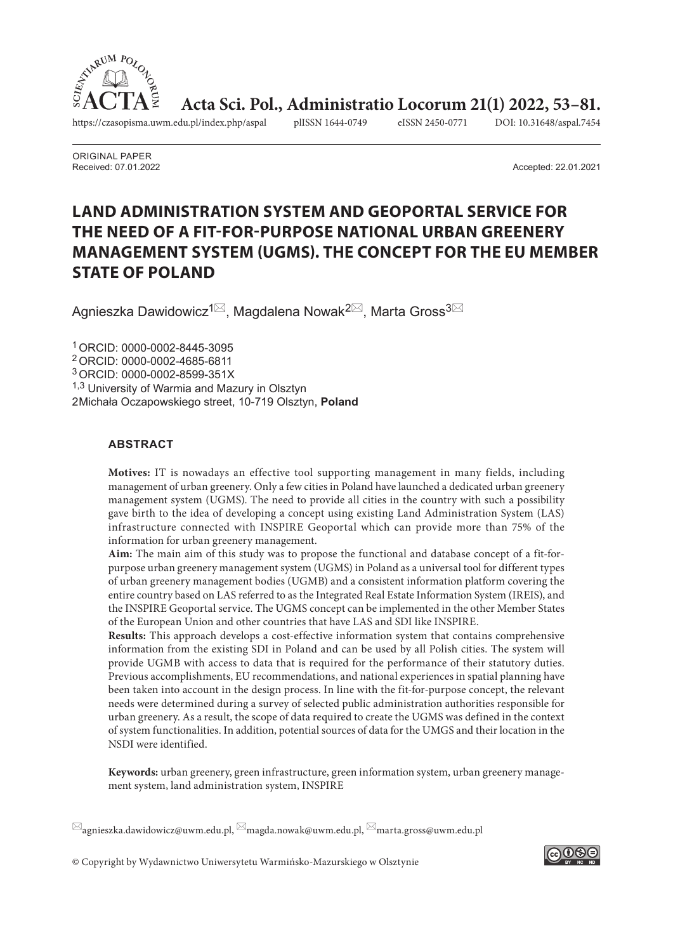

**Acta Sci. Pol., Administratio Locorum 21(1) 2022, 53-81.**<br>du.pl/index.php/aspal plISSN 1644-0749 eISSN 2450-0771 DOI: 10.31648/aspal.7454

https://czasopisma.uwm.edu.pl/index.php/aspal plISSN 1644-0749 eISSN 2450-0771 DOI: 10.31648/aspal.7454

ORIGINAL PAPER Received: 07.01.2022 Accepted: 22.01.2021

# **LAND ADMINISTRATION SYSTEM AND GEOPORTAL SERVICE FOR THE NEED OF A FIT-FOR-PURPOSE NATIONAL URBAN GREENERY MANAGEMENT SYSTEM (UGMS). THE CONCEPT FOR THE EU MEMBER STATE OF POLAND**

Agnieszka Dawidowicz<sup>1⊠</sup>, Magdalena Nowak<sup>2⊠</sup>, Marta Gross<sup>3⊠</sup>

1ORCID: 0000-0002-8445-3095 2ORCID: 0000-0002-4685-6811 3ORCID: 0000-0002-8599-351X 1,3 University of Warmia and Mazury in Olsztyn 2 Michała Oczapowskiego street, 10-719 Olsztyn, **Poland**

#### **ABSTRACT**

**Motives:** IT is nowadays an effective tool supporting management in many fields, including management of urban greenery. Only a few cities in Poland have launched a dedicated urban greenery management system (UGMS). The need to provide all cities in the country with such a possibility gave birth to the idea of developing a concept using existing Land Administration System (LAS) infrastructure connected with INSPIRE Geoportal which can provide more than 75% of the information for urban greenery management.

**Aim:** The main aim of this study was to propose the functional and database concept of a fit-forpurpose urban greenery management system (UGMS) in Poland as a universal tool for different types of urban greenery management bodies (UGMB) and a consistent information platform covering the entire country based on LAS referred to as the Integrated Real Estate Information System (IREIS), and the INSPIRE Geoportal service. The UGMS concept can be implemented in the other Member States of the European Union and other countries that have LAS and SDI like INSPIRE.

**Results:** This approach develops a cost-effective information system that contains comprehensive information from the existing SDI in Poland and can be used by all Polish cities. The system will provide UGMB with access to data that is required for the performance of their statutory duties. Previous accomplishments, EU recommendations, and national experiences in spatial planning have been taken into account in the design process. In line with the fit-for-purpose concept, the relevant needs were determined during a survey of selected public administration authorities responsible for urban greenery. As a result, the scope of data required to create the UGMS was defined in the context of system functionalities. In addition, potential sources of data for the UMGS and their location in the NSDI were identified.

**Keywords:** urban greenery, green infrastructure, green information system, urban greenery management system, land administration system, INSPIRE

 $\boxtimes$ agnieszka.dawidowicz@uwm.edu.pl,  $\boxtimes$ magda.nowak@uwm.edu.pl,  $\boxtimes$ marta.gross@uwm.edu.pl

© Copyright by Wydawnictwo Uniwersytetu Warmińsko-Mazurskiego w Olsztynie

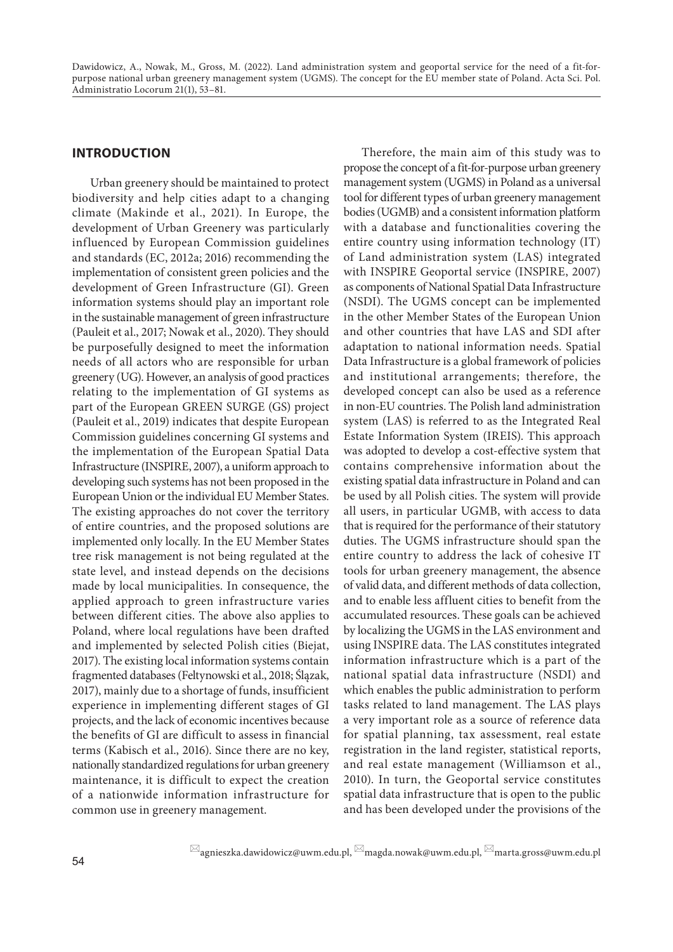## **INTRODUCTION**

Urban greenery should be maintained to protect biodiversity and help cities adapt to a changing climate (Makinde et al., 2021). In Europe, the development of Urban Greenery was particularly influenced by European Commission guidelines and standards (EC, 2012a; 2016) recommending the implementation of consistent green policies and the development of Green Infrastructure (GI). Green information systems should play an important role in the sustainable management of green infrastructure (Pauleit et al., 2017; Nowak et al., 2020). They should be purposefully designed to meet the information needs of all actors who are responsible for urban greenery (UG). However, an analysis of good practices relating to the implementation of GI systems as part of the European GREEN SURGE (GS) project (Pauleit et al., 2019) indicates that despite European Commission guidelines concerning GI systems and the implementation of the European Spatial Data Infrastructure (INSPIRE, 2007), a uniform approach to developing such systems has not been proposed in the European Union or the individual EU Member States. The existing approaches do not cover the territory of entire countries, and the proposed solutions are implemented only locally. In the EU Member States tree risk management is not being regulated at the state level, and instead depends on the decisions made by local municipalities. In consequence, the applied approach to green infrastructure varies between different cities. The above also applies to Poland, where local regulations have been drafted and implemented by selected Polish cities (Biejat, 2017). The existing local information systems contain fragmented databases (Feltynowski et al., 2018; Ślązak, 2017), mainly due to a shortage of funds, insufficient experience in implementing different stages of GI projects, and the lack of economic incentives because the benefits of GI are difficult to assess in financial terms (Kabisch et al., 2016). Since there are no key, nationally standardized regulations for urban greenery maintenance, it is difficult to expect the creation of a nationwide information infrastructure for common use in greenery management.

Therefore, the main aim of this study was to propose the concept of a fit-for-purpose urban greenery management system (UGMS) in Poland as a universal tool for different types of urban greenery management bodies (UGMB) and a consistent information platform with a database and functionalities covering the entire country using information technology (IT) of Land administration system (LAS) integrated with INSPIRE Geoportal service (INSPIRE, 2007) as components of National Spatial Data Infrastructure (NSDI). The UGMS concept can be implemented in the other Member States of the European Union and other countries that have LAS and SDI after adaptation to national information needs. Spatial Data Infrastructure is a global framework of policies and institutional arrangements; therefore, the developed concept can also be used as a reference in non-EU countries. The Polish land administration system (LAS) is referred to as the Integrated Real Estate Information System (IREIS). This approach was adopted to develop a cost-effective system that contains comprehensive information about the existing spatial data infrastructure in Poland and can be used by all Polish cities. The system will provide all users, in particular UGMB, with access to data that is required for the performance of their statutory duties. The UGMS infrastructure should span the entire country to address the lack of cohesive IT tools for urban greenery management, the absence of valid data, and different methods of data collection, and to enable less affluent cities to benefit from the accumulated resources. These goals can be achieved by localizing the UGMS in the LAS environment and using INSPIRE data. The LAS constitutes integrated information infrastructure which is a part of the national spatial data infrastructure (NSDI) and which enables the public administration to perform tasks related to land management. The LAS plays a very important role as a source of reference data for spatial planning, tax assessment, real estate registration in the land register, statistical reports, and real estate management (Williamson et al., 2010). In turn, the Geoportal service constitutes spatial data infrastructure that is open to the public and has been developed under the provisions of the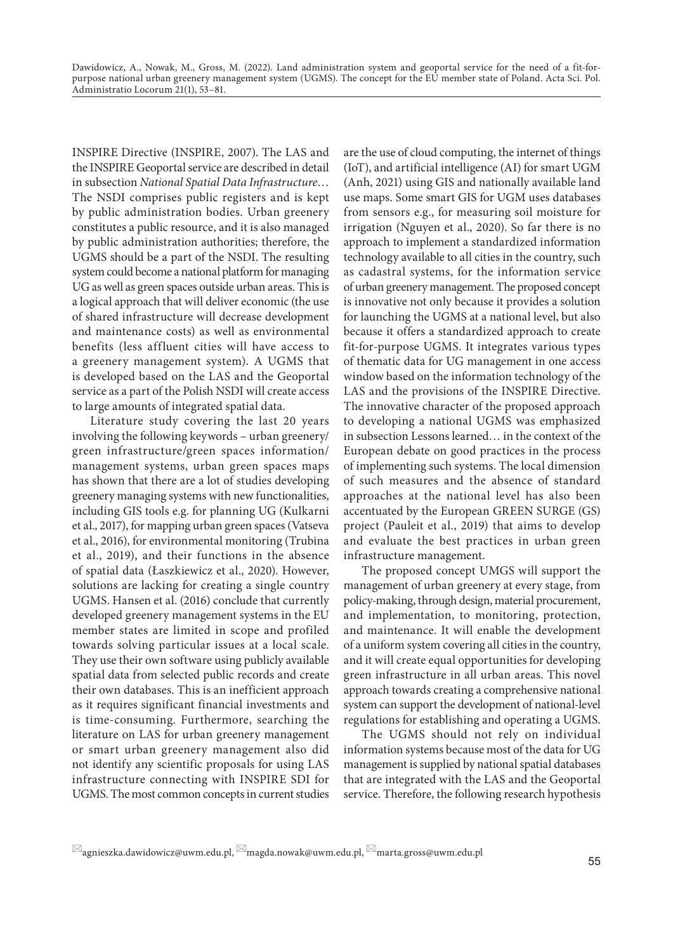INSPIRE Directive (INSPIRE, 2007). The LAS and the INSPIRE Geoportal service are described in detail in subsection *National Spatial Data Infrastructure*… The NSDI comprises public registers and is kept by public administration bodies. Urban greenery constitutes a public resource, and it is also managed by public administration authorities; therefore, the UGMS should be a part of the NSDI. The resulting system could become a national platform for managing UG as well as green spaces outside urban areas. This is a logical approach that will deliver economic (the use of shared infrastructure will decrease development and maintenance costs) as well as environmental benefits (less affluent cities will have access to a greenery management system). A UGMS that is developed based on the LAS and the Geoportal service as a part of the Polish NSDI will create access to large amounts of integrated spatial data.

Literature study covering the last 20 years involving the following keywords – urban greenery/ green infrastructure/green spaces information/ management systems, urban green spaces maps has shown that there are a lot of studies developing greenery managing systems with new functionalities, including GIS tools e.g. for planning UG (Kulkarni et al., 2017), for mapping urban green spaces (Vatseva et al., 2016), for environmental monitoring (Trubina et al., 2019), and their functions in the absence of spatial data (Łaszkiewicz et al., 2020). However, solutions are lacking for creating a single country UGMS. Hansen et al. (2016) conclude that currently developed greenery management systems in the EU member states are limited in scope and profiled towards solving particular issues at a local scale. They use their own software using publicly available spatial data from selected public records and create their own databases. This is an inefficient approach as it requires significant financial investments and is time-consuming. Furthermore, searching the literature on LAS for urban greenery management or smart urban greenery management also did not identify any scientific proposals for using LAS infrastructure connecting with INSPIRE SDI for UGMS. The most common concepts in current studies

are the use of cloud computing, the internet of things (IoT), and artificial intelligence (AI) for smart UGM (Anh, 2021) using GIS and nationally available land use maps. Some smart GIS for UGM uses databases from sensors e.g., for measuring soil moisture for irrigation (Nguyen et al., 2020). So far there is no approach to implement a standardized information technology available to all cities in the country, such as cadastral systems, for the information service of urban greenery management. The proposed concept is innovative not only because it provides a solution for launching the UGMS at a national level, but also because it offers a standardized approach to create fit-for-purpose UGMS. It integrates various types of thematic data for UG management in one access window based on the information technology of the LAS and the provisions of the INSPIRE Directive. The innovative character of the proposed approach to developing a national UGMS was emphasized in subsection Lessons learned… in the context of the European debate on good practices in the process of implementing such systems. The local dimension of such measures and the absence of standard approaches at the national level has also been accentuated by the European GREEN SURGE (GS) project (Pauleit et al., 2019) that aims to develop and evaluate the best practices in urban green infrastructure management.

The proposed concept UMGS will support the management of urban greenery at every stage, from policy-making, through design, material procurement, and implementation, to monitoring, protection, and maintenance. It will enable the development of a uniform system covering all cities in the country, and it will create equal opportunities for developing green infrastructure in all urban areas. This novel approach towards creating a comprehensive national system can support the development of national-level regulations for establishing and operating a UGMS.

The UGMS should not rely on individual information systems because most of the data for UG management is supplied by national spatial databases that are integrated with the LAS and the Geoportal service. Therefore, the following research hypothesis

 $\boxtimes$ agnieszka.dawidowicz@uwm.edu.pl,  $\boxtimes$ magda.nowak@uwm.edu.pl,  $\boxtimes$ marta.gross@uwm.edu.pl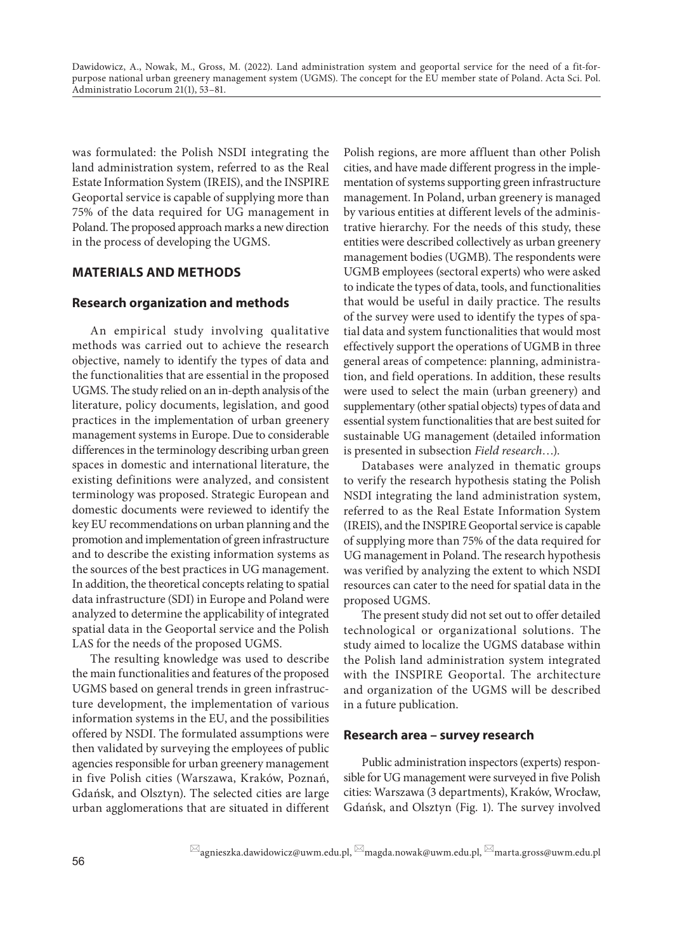was formulated: the Polish NSDI integrating the land administration system, referred to as the Real Estate Information System (IREIS), and the INSPIRE Geoportal service is capable of supplying more than 75% of the data required for UG management in Poland. The proposed approach marks a new direction in the process of developing the UGMS.

# **MATERIALS AND METHODS**

# **Research organization and methods**

An empirical study involving qualitative methods was carried out to achieve the research objective, namely to identify the types of data and the functionalities that are essential in the proposed UGMS. The study relied on an in-depth analysis of the literature, policy documents, legislation, and good practices in the implementation of urban greenery management systems in Europe. Due to considerable differences in the terminology describing urban green spaces in domestic and international literature, the existing definitions were analyzed, and consistent terminology was proposed. Strategic European and domestic documents were reviewed to identify the key EU recommendations on urban planning and the promotion and implementation of green infrastructure and to describe the existing information systems as the sources of the best practices in UG management. In addition, the theoretical concepts relating to spatial data infrastructure (SDI) in Europe and Poland were analyzed to determine the applicability of integrated spatial data in the Geoportal service and the Polish LAS for the needs of the proposed UGMS.

The resulting knowledge was used to describe the main functionalities and features of the proposed UGMS based on general trends in green infrastructure development, the implementation of various information systems in the EU, and the possibilities offered by NSDI. The formulated assumptions were then validated by surveying the employees of public agencies responsible for urban greenery management in five Polish cities (Warszawa, Kraków, Poznań, Gdańsk, and Olsztyn). The selected cities are large urban agglomerations that are situated in different

Polish regions, are more affluent than other Polish cities, and have made different progress in the implementation of systems supporting green infrastructure management. In Poland, urban greenery is managed by various entities at different levels of the administrative hierarchy. For the needs of this study, these entities were described collectively as urban greenery management bodies (UGMB). The respondents were UGMB employees (sectoral experts) who were asked to indicate the types of data, tools, and functionalities that would be useful in daily practice. The results of the survey were used to identify the types of spatial data and system functionalities that would most effectively support the operations of UGMB in three general areas of competence: planning, administration, and field operations. In addition, these results were used to select the main (urban greenery) and supplementary (other spatial objects) types of data and essential system functionalities that are best suited for sustainable UG management (detailed information is presented in subsection *Field research*…).

Databases were analyzed in thematic groups to verify the research hypothesis stating the Polish NSDI integrating the land administration system, referred to as the Real Estate Information System (IREIS), and the INSPIRE Geoportal service is capable of supplying more than 75% of the data required for UG management in Poland. The research hypothesis was verified by analyzing the extent to which NSDI resources can cater to the need for spatial data in the proposed UGMS.

The present study did not set out to offer detailed technological or organizational solutions. The study aimed to localize the UGMS database within the Polish land administration system integrated with the INSPIRE Geoportal. The architecture and organization of the UGMS will be described in a future publication.

## **Research area – survey research**

Public administration inspectors (experts) responsible for UG management were surveyed in five Polish cities: Warszawa (3 departments), Kraków, Wrocław, Gdańsk, and Olsztyn (Fig. 1). The survey involved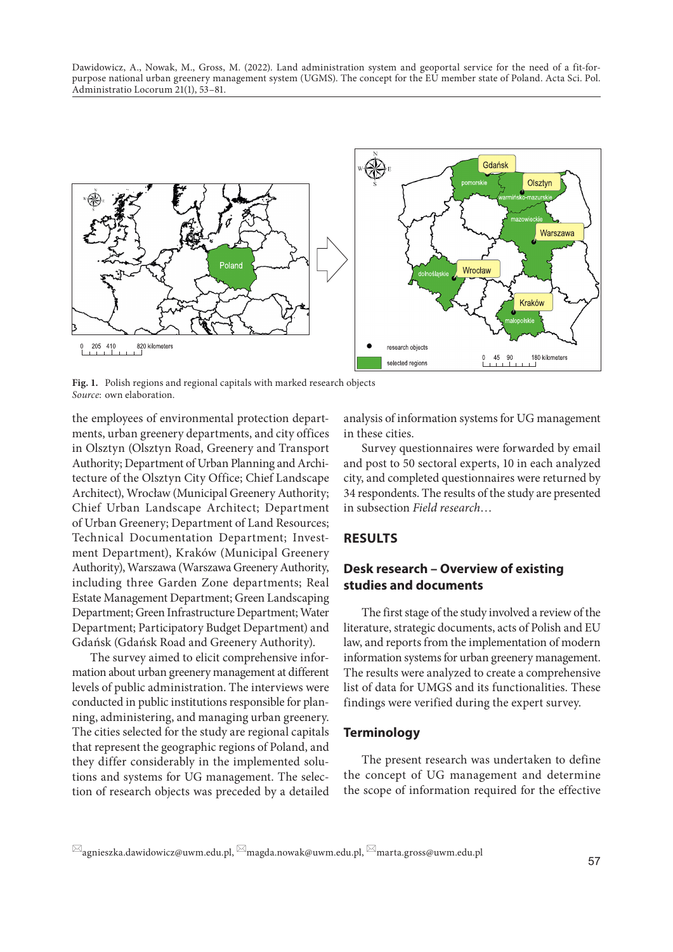

Fig. 1. Polish regions and regional capitals with marked research objects *Source*: own elaboration.

the employees of environmental protection departments, urban greenery departments, and city offices in Olsztyn (Olsztyn Road, Greenery and Transport Authority; Department of Urban Planning and Architecture of the Olsztyn City Office; Chief Landscape Architect), Wrocław (Municipal Greenery Authority; Chief Urban Landscape Architect; Department of Urban Greenery; Department of Land Resources; Technical Documentation Department; Investment Department), Kraków (Municipal Greenery Authority), Warszawa (Warszawa Greenery Authority, including three Garden Zone departments; Real Estate Management Department; Green Landscaping Department; Green Infrastructure Department; Water Department; Participatory Budget Department) and Gdańsk (Gdańsk Road and Greenery Authority).

The survey aimed to elicit comprehensive information about urban greenery management at different levels of public administration. The interviews were conducted in public institutions responsible for planning, administering, and managing urban greenery. The cities selected for the study are regional capitals that represent the geographic regions of Poland, and they differ considerably in the implemented solutions and systems for UG management. The selection of research objects was preceded by a detailed

analysis of information systems for UG management in these cities.

Survey questionnaires were forwarded by email and post to 50 sectoral experts, 10 in each analyzed city, and completed questionnaires were returned by 34 respondents. The results of the study are presented in subsection *Field research*…

#### **RESULTS**

## **Desk research – Overview of existing studies and documents**

The first stage of the study involved a review of the literature, strategic documents, acts of Polish and EU law, and reports from the implementation of modern information systems for urban greenery management. The results were analyzed to create a comprehensive list of data for UMGS and its functionalities. These findings were verified during the expert survey.

#### **Terminology**

The present research was undertaken to define the concept of UG management and determine the scope of information required for the effective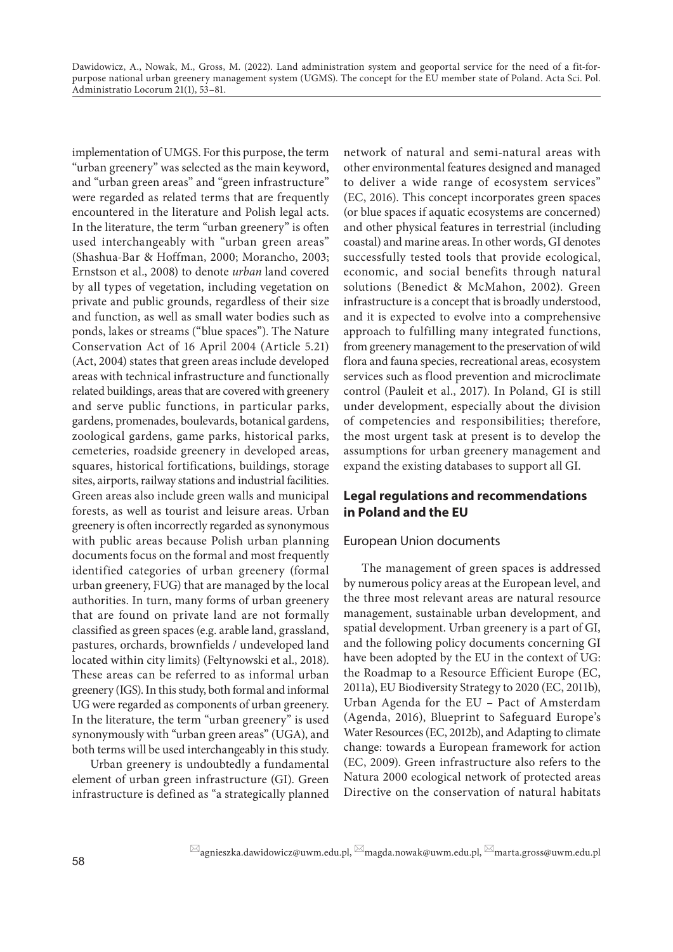implementation of UMGS. For this purpose, the term "urban greenery" was selected as the main keyword, and "urban green areas" and "green infrastructure" were regarded as related terms that are frequently encountered in the literature and Polish legal acts. In the literature, the term "urban greenery" is often used interchangeably with "urban green areas" (Shashua-Bar & Hoffman, 2000; Morancho, 2003; Ernstson et al., 2008) to denote *urban* land covered by all types of vegetation, including vegetation on private and public grounds, regardless of their size and function, as well as small water bodies such as ponds, lakes or streams ("blue spaces"). The Nature Conservation Act of 16 April 2004 (Article 5.21) (Act, 2004) states that green areas include developed areas with technical infrastructure and functionally related buildings, areas that are covered with greenery and serve public functions, in particular parks, gardens, promenades, boulevards, botanical gardens, zoological gardens, game parks, historical parks, cemeteries, roadside greenery in developed areas, squares, historical fortifications, buildings, storage sites, airports, railway stations and industrial facilities. Green areas also include green walls and municipal forests, as well as tourist and leisure areas. Urban greenery is often incorrectly regarded as synonymous with public areas because Polish urban planning documents focus on the formal and most frequently identified categories of urban greenery (formal urban greenery, FUG) that are managed by the local authorities. In turn, many forms of urban greenery that are found on private land are not formally classified as green spaces (e.g. arable land, grassland, pastures, orchards, brownfields / undeveloped land located within city limits) (Feltynowski et al., 2018). These areas can be referred to as informal urban greenery (IGS). In this study, both formal and informal UG were regarded as components of urban greenery. In the literature, the term "urban greenery" is used synonymously with "urban green areas" (UGA), and both terms will be used interchangeably in this study.

Urban greenery is undoubtedly a fundamental element of urban green infrastructure (GI). Green infrastructure is defined as "a strategically planned network of natural and semi-natural areas with other environmental features designed and managed to deliver a wide range of ecosystem services" (EC, 2016). This concept incorporates green spaces (or blue spaces if aquatic ecosystems are concerned) and other physical features in terrestrial (including coastal) and marine areas. In other words, GI denotes successfully tested tools that provide ecological, economic, and social benefits through natural solutions (Benedict & McMahon, 2002). Green infrastructure is a concept that is broadly understood, and it is expected to evolve into a comprehensive approach to fulfilling many integrated functions, from greenery management to the preservation of wild flora and fauna species, recreational areas, ecosystem services such as flood prevention and microclimate control (Pauleit et al., 2017). In Poland, GI is still under development, especially about the division of competencies and responsibilities; therefore, the most urgent task at present is to develop the assumptions for urban greenery management and expand the existing databases to support all GI.

# **Legal regulations and recommendations in Poland and the EU**

## European Union documents

The management of green spaces is addressed by numerous policy areas at the European level, and the three most relevant areas are natural resource management, sustainable urban development, and spatial development. Urban greenery is a part of GI, and the following policy documents concerning GI have been adopted by the EU in the context of UG: the Roadmap to a Resource Efficient Europe (EC, 2011a), EU Biodiversity Strategy to 2020 (EC, 2011b), Urban Agenda for the EU – Pact of Amsterdam (Agenda, 2016), Blueprint to Safeguard Europe's Water Resources (EC, 2012b), and Adapting to climate change: towards a European framework for action (EC, 2009). Green infrastructure also refers to the Natura 2000 ecological network of protected areas Directive on the conservation of natural habitats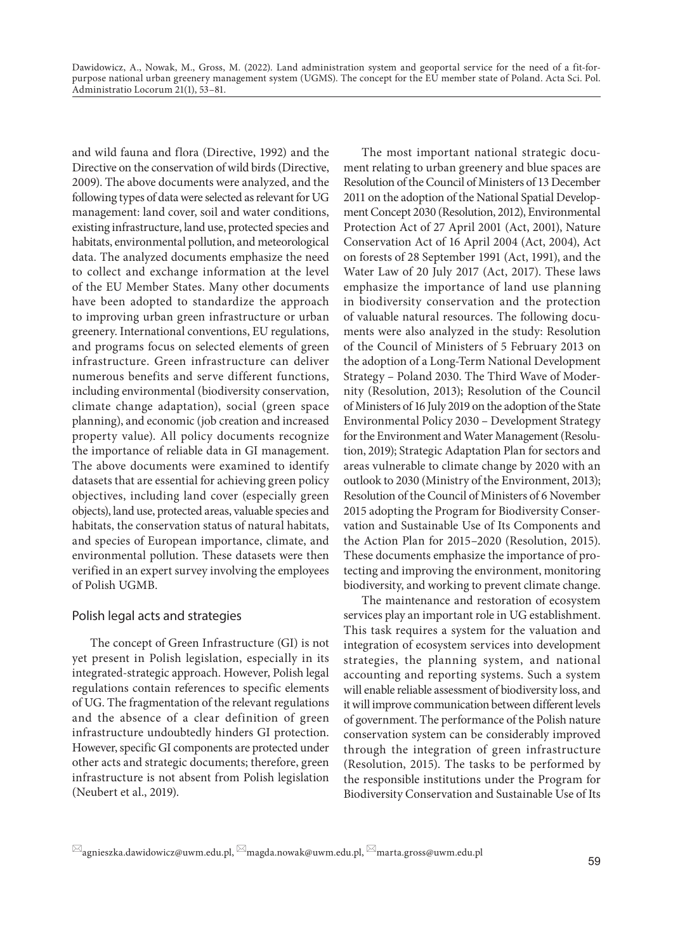and wild fauna and flora (Directive, 1992) and the Directive on the conservation of wild birds (Directive, 2009). The above documents were analyzed, and the following types of data were selected as relevant for UG management: land cover, soil and water conditions, existing infrastructure, land use, protected species and habitats, environmental pollution, and meteorological data. The analyzed documents emphasize the need to collect and exchange information at the level of the EU Member States. Many other documents have been adopted to standardize the approach to improving urban green infrastructure or urban greenery. International conventions, EU regulations, and programs focus on selected elements of green infrastructure. Green infrastructure can deliver numerous benefits and serve different functions, including environmental (biodiversity conservation, climate change adaptation), social (green space planning), and economic (job creation and increased property value). All policy documents recognize the importance of reliable data in GI management. The above documents were examined to identify datasets that are essential for achieving green policy objectives, including land cover (especially green objects), land use, protected areas, valuable species and habitats, the conservation status of natural habitats, and species of European importance, climate, and environmental pollution. These datasets were then verified in an expert survey involving the employees of Polish UGMB.

#### Polish legal acts and strategies

The concept of Green Infrastructure (GI) is not yet present in Polish legislation, especially in its integrated-strategic approach. However, Polish legal regulations contain references to specific elements of UG. The fragmentation of the relevant regulations and the absence of a clear definition of green infrastructure undoubtedly hinders GI protection. However, specific GI components are protected under other acts and strategic documents; therefore, green infrastructure is not absent from Polish legislation (Neubert et al., 2019).

The most important national strategic document relating to urban greenery and blue spaces are Resolution of the Council of Ministers of 13 December 2011 on the adoption of the National Spatial Development Concept 2030 (Resolution, 2012), Environmental Protection Act of 27 April 2001 (Act, 2001), Nature Conservation Act of 16 April 2004 (Act, 2004), Act on forests of 28 September 1991 (Act, 1991), and the Water Law of 20 July 2017 (Act, 2017). These laws emphasize the importance of land use planning in biodiversity conservation and the protection of valuable natural resources. The following documents were also analyzed in the study: Resolution of the Council of Ministers of 5 February 2013 on the adoption of a Long-Term National Development Strategy – Poland 2030. The Third Wave of Modernity (Resolution, 2013); Resolution of the Council of Ministers of 16 July 2019 on the adoption of the State Environmental Policy 2030 – Development Strategy for the Environment and Water Management (Resolution, 2019); Strategic Adaptation Plan for sectors and areas vulnerable to climate change by 2020 with an outlook to 2030 (Ministry of the Environment, 2013); Resolution of the Council of Ministers of 6 November 2015 adopting the Program for Biodiversity Conservation and Sustainable Use of Its Components and the Action Plan for 2015–2020 (Resolution, 2015). These documents emphasize the importance of protecting and improving the environment, monitoring biodiversity, and working to prevent climate change.

The maintenance and restoration of ecosystem services play an important role in UG establishment. This task requires a system for the valuation and integration of ecosystem services into development strategies, the planning system, and national accounting and reporting systems. Such a system will enable reliable assessment of biodiversity loss, and it will improve communication between different levels of government. The performance of the Polish nature conservation system can be considerably improved through the integration of green infrastructure (Resolution, 2015). The tasks to be performed by the responsible institutions under the Program for Biodiversity Conservation and Sustainable Use of Its

 $\boxtimes$ agnieszka.dawidowicz@uwm.edu.pl,  $\boxtimes$ magda.nowak@uwm.edu.pl,  $\boxtimes$ marta.gross@uwm.edu.pl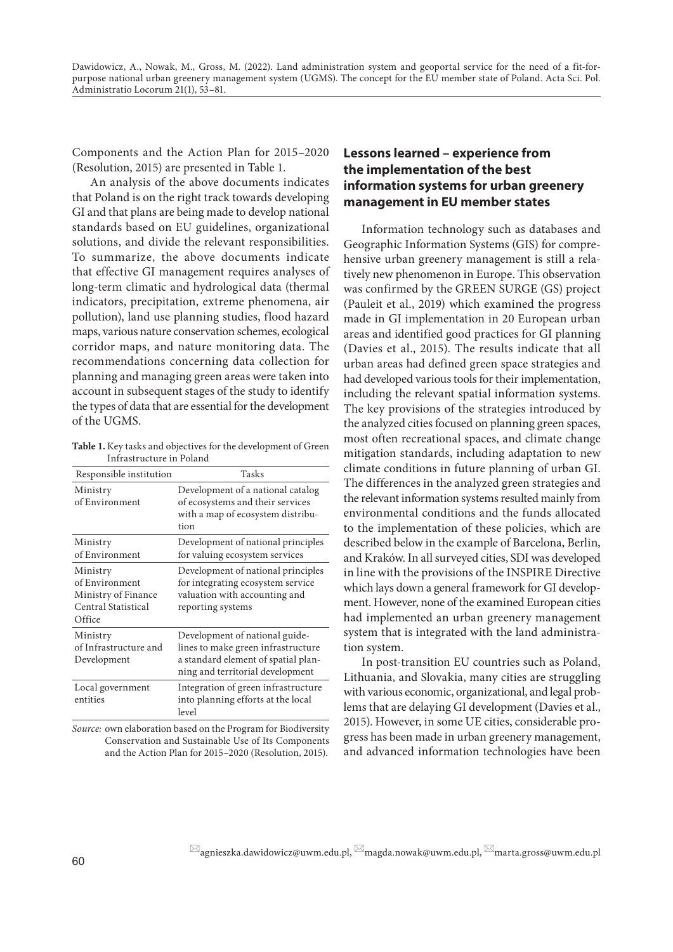Components and the Action Plan for 2015–2020 (Resolution, 2015) are presented in Table 1.

An analysis of the above documents indicates that Poland is on the right track towards developing GI and that plans are being made to develop national standards based on EU guidelines, organizational solutions, and divide the relevant responsibilities. To summarize, the above documents indicate that effective GI management requires analyses of long-term climatic and hydrological data (thermal indicators, precipitation, extreme phenomena, air pollution), land use planning studies, flood hazard maps, various nature conservation schemes, ecological corridor maps, and nature monitoring data. The recommendations concerning data collection for planning and managing green areas were taken into account in subsequent stages of the study to identify the types of data that are essential for the development of the UGMS.

**Table 1.** Key tasks and objectives for the development of Green Infrastructure in Poland

| Responsible institution                                                            | Tasks                                                                                                                                           |
|------------------------------------------------------------------------------------|-------------------------------------------------------------------------------------------------------------------------------------------------|
| Ministry<br>of Environment                                                         | Development of a national catalog<br>of ecosystems and their services<br>with a map of ecosystem distribu-<br>tion                              |
| Ministry<br>of Environment                                                         | Development of national principles<br>for valuing ecosystem services                                                                            |
| Ministry<br>of Environment<br>Ministry of Finance<br>Central Statistical<br>Office | Development of national principles<br>for integrating ecosystem service<br>valuation with accounting and<br>reporting systems                   |
| Ministry<br>of Infrastructure and<br>Development                                   | Development of national guide-<br>lines to make green infrastructure<br>a standard element of spatial plan-<br>ning and territorial development |
| Local government<br>entities                                                       | Integration of green infrastructure<br>into planning efforts at the local<br>level                                                              |

*Source:* own elaboration based on the Program for Biodiversity Conservation and Sustainable Use of Its Components and the Action Plan for 2015–2020 (Resolution, 2015).

# **Lessons learned – experience from the implementation of the best information systems for urban greenery management in EU member states**

Information technology such as databases and Geographic Information Systems (GIS) for comprehensive urban greenery management is still a relatively new phenomenon in Europe. This observation was confirmed by the GREEN SURGE (GS) project (Pauleit et al., 2019) which examined the progress made in GI implementation in 20 European urban areas and identified good practices for GI planning (Davies et al., 2015). The results indicate that all urban areas had defined green space strategies and had developed various tools for their implementation, including the relevant spatial information systems. The key provisions of the strategies introduced by the analyzed cities focused on planning green spaces, most often recreational spaces, and climate change mitigation standards, including adaptation to new climate conditions in future planning of urban GI. The differences in the analyzed green strategies and the relevant information systems resulted mainly from environmental conditions and the funds allocated to the implementation of these policies, which are described below in the example of Barcelona, Berlin, and Kraków. In all surveyed cities, SDI was developed in line with the provisions of the INSPIRE Directive which lays down a general framework for GI development. However, none of the examined European cities had implemented an urban greenery management system that is integrated with the land administration system.

In post-transition EU countries such as Poland, Lithuania, and Slovakia, many cities are struggling with various economic, organizational, and legal problems that are delaying GI development (Davies et al., 2015). However, in some UE cities, considerable progress has been made in urban greenery management, and advanced information technologies have been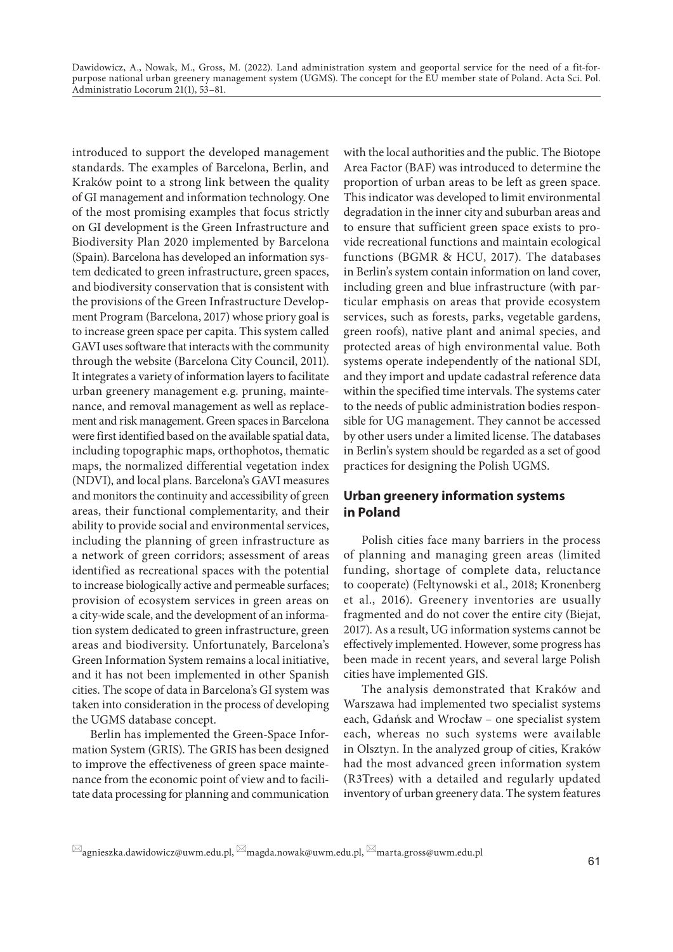introduced to support the developed management standards. The examples of Barcelona, Berlin, and Kraków point to a strong link between the quality of GI management and information technology. One of the most promising examples that focus strictly on GI development is the Green Infrastructure and Biodiversity Plan 2020 implemented by Barcelona (Spain). Barcelona has developed an information system dedicated to green infrastructure, green spaces, and biodiversity conservation that is consistent with the provisions of the Green Infrastructure Development Program (Barcelona, 2017) whose priory goal is to increase green space per capita. This system called GAVI uses software that interacts with the community through the website (Barcelona City Council, 2011). It integrates a variety of information layers to facilitate urban greenery management e.g. pruning, maintenance, and removal management as well as replacement and risk management. Green spaces in Barcelona were first identified based on the available spatial data, including topographic maps, orthophotos, thematic maps, the normalized differential vegetation index (NDVI), and local plans. Barcelona's GAVI measures and monitors the continuity and accessibility of green areas, their functional complementarity, and their ability to provide social and environmental services, including the planning of green infrastructure as a network of green corridors; assessment of areas identified as recreational spaces with the potential to increase biologically active and permeable surfaces; provision of ecosystem services in green areas on a city-wide scale, and the development of an information system dedicated to green infrastructure, green areas and biodiversity. Unfortunately, Barcelona's Green Information System remains a local initiative, and it has not been implemented in other Spanish cities. The scope of data in Barcelona's GI system was taken into consideration in the process of developing the UGMS database concept.

Berlin has implemented the Green-Space Information System (GRIS). The GRIS has been designed to improve the effectiveness of green space maintenance from the economic point of view and to facilitate data processing for planning and communication

with the local authorities and the public. The Biotope Area Factor (BAF) was introduced to determine the proportion of urban areas to be left as green space. This indicator was developed to limit environmental degradation in the inner city and suburban areas and to ensure that sufficient green space exists to provide recreational functions and maintain ecological functions (BGMR & HCU, 2017). The databases in Berlin's system contain information on land cover, including green and blue infrastructure (with particular emphasis on areas that provide ecosystem services, such as forests, parks, vegetable gardens, green roofs), native plant and animal species, and protected areas of high environmental value. Both systems operate independently of the national SDI, and they import and update cadastral reference data within the specified time intervals. The systems cater to the needs of public administration bodies responsible for UG management. They cannot be accessed by other users under a limited license. The databases in Berlin's system should be regarded as a set of good practices for designing the Polish UGMS.

## **Urban greenery information systems in Poland**

Polish cities face many barriers in the process of planning and managing green areas (limited funding, shortage of complete data, reluctance to cooperate) (Feltynowski et al., 2018; Kronenberg et al., 2016). Greenery inventories are usually fragmented and do not cover the entire city (Biejat, 2017). As a result, UG information systems cannot be effectively implemented. However, some progress has been made in recent years, and several large Polish cities have implemented GIS.

The analysis demonstrated that Kraków and Warszawa had implemented two specialist systems each, Gdańsk and Wrocław – one specialist system each, whereas no such systems were available in Olsztyn. In the analyzed group of cities, Kraków had the most advanced green information system (R3Trees) with a detailed and regularly updated inventory of urban greenery data. The system features

 $\boxtimes$ agnieszka.dawidowicz@uwm.edu.pl,  $\boxtimes$ magda.nowak@uwm.edu.pl,  $\boxtimes$ marta.gross@uwm.edu.pl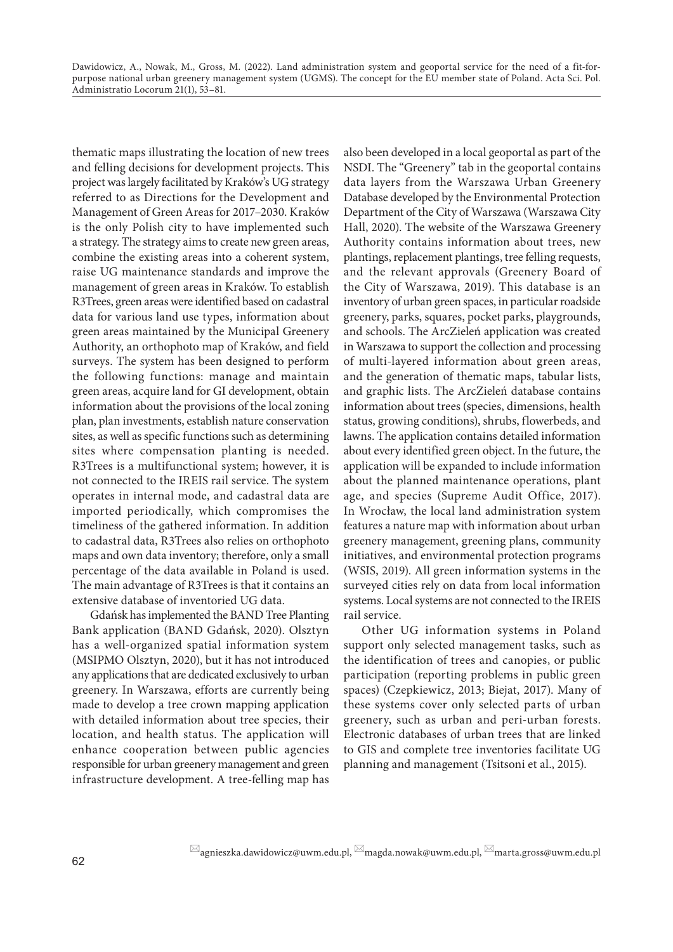thematic maps illustrating the location of new trees and felling decisions for development projects. This project was largely facilitated by Kraków's UG strategy referred to as Directions for the Development and Management of Green Areas for 2017–2030. Kraków is the only Polish city to have implemented such a strategy. The strategy aims to create new green areas, combine the existing areas into a coherent system, raise UG maintenance standards and improve the management of green areas in Kraków. To establish R3Trees, green areas were identified based on cadastral data for various land use types, information about green areas maintained by the Municipal Greenery Authority, an orthophoto map of Kraków, and field surveys. The system has been designed to perform the following functions: manage and maintain green areas, acquire land for GI development, obtain information about the provisions of the local zoning plan, plan investments, establish nature conservation sites, as well as specific functions such as determining sites where compensation planting is needed. R3Trees is a multifunctional system; however, it is not connected to the IREIS rail service. The system operates in internal mode, and cadastral data are imported periodically, which compromises the timeliness of the gathered information. In addition to cadastral data, R3Trees also relies on orthophoto maps and own data inventory; therefore, only a small percentage of the data available in Poland is used. The main advantage of R3Trees is that it contains an extensive database of inventoried UG data.

Gdańsk has implemented the BAND Tree Planting Bank application (BAND Gdańsk, 2020). Olsztyn has a well-organized spatial information system (MSIPMO Olsztyn, 2020), but it has not introduced any applications that are dedicated exclusively to urban greenery. In Warszawa, efforts are currently being made to develop a tree crown mapping application with detailed information about tree species, their location, and health status. The application will enhance cooperation between public agencies responsible for urban greenery management and green infrastructure development. A tree-felling map has

also been developed in a local geoportal as part of the NSDI. The "Greenery" tab in the geoportal contains data layers from the Warszawa Urban Greenery Database developed by the Environmental Protection Department of the City of Warszawa (Warszawa City Hall, 2020). The website of the Warszawa Greenery Authority contains information about trees, new plantings, replacement plantings, tree felling requests, and the relevant approvals (Greenery Board of the City of Warszawa, 2019). This database is an inventory of urban green spaces, in particular roadside greenery, parks, squares, pocket parks, playgrounds, and schools. The ArcZieleń application was created in Warszawa to support the collection and processing of multi-layered information about green areas, and the generation of thematic maps, tabular lists, and graphic lists. The ArcZieleń database contains information about trees (species, dimensions, health status, growing conditions), shrubs, flowerbeds, and lawns. The application contains detailed information about every identified green object. In the future, the application will be expanded to include information about the planned maintenance operations, plant age, and species (Supreme Audit Office, 2017). In Wrocław, the local land administration system features a nature map with information about urban greenery management, greening plans, community initiatives, and environmental protection programs (WSIS, 2019). All green information systems in the surveyed cities rely on data from local information systems. Local systems are not connected to the IREIS rail service.

Other UG information systems in Poland support only selected management tasks, such as the identification of trees and canopies, or public participation (reporting problems in public green spaces) (Czepkiewicz, 2013; Biejat, 2017). Many of these systems cover only selected parts of urban greenery, such as urban and peri-urban forests. Electronic databases of urban trees that are linked to GIS and complete tree inventories facilitate UG planning and management (Tsitsoni et al., 2015).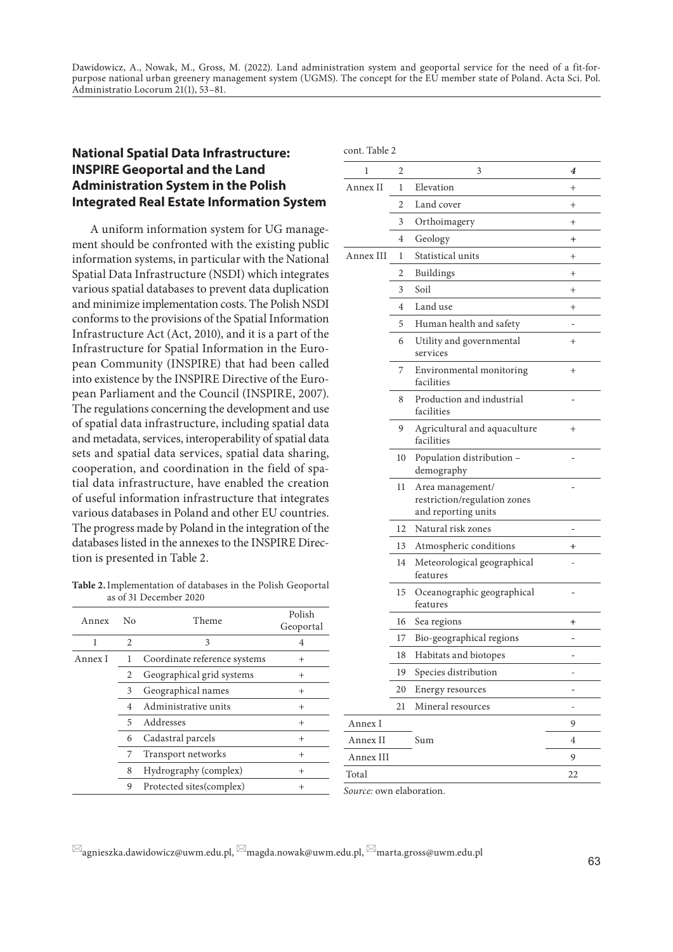# **National Spatial Data Infrastructure: INSPIRE Geoportal and the Land Administration System in the Polish Integrated Real Estate Information System**

A uniform information system for UG management should be confronted with the existing public information systems, in particular with the National Spatial Data Infrastructure (NSDI) which integrates various spatial databases to prevent data duplication and minimize implementation costs. The Polish NSDI conforms to the provisions of the Spatial Information Infrastructure Act (Act, 2010), and it is a part of the Infrastructure for Spatial Information in the European Community (INSPIRE) that had been called into existence by the INSPIRE Directive of the European Parliament and the Council (INSPIRE, 2007). The regulations concerning the development and use of spatial data infrastructure, including spatial data and metadata, services, interoperability of spatial data sets and spatial data services, spatial data sharing, cooperation, and coordination in the field of spatial data infrastructure, have enabled the creation of useful information infrastructure that integrates various databases in Poland and other EU countries. The progress made by Poland in the integration of the databases listed in the annexes to the INSPIRE Direction is presented in Table 2.

**Table 2.**Implementation of databases in the Polish Geoportal as of 31 December 2020

| Annex   | No             | Theme                        | Polish<br>Geoportal |
|---------|----------------|------------------------------|---------------------|
| 1       | $\mathfrak{D}$ | 3                            | 4                   |
| Annex I | 1              | Coordinate reference systems | $^+$                |
|         | 2              | Geographical grid systems    | $\overline{+}$      |
|         | 3              | Geographical names           | $^{+}$              |
|         | $\overline{4}$ | Administrative units         | $^{+}$              |
|         | 5              | Addresses                    | $\overline{+}$      |
|         | 6              | Cadastral parcels            | $^{+}$              |
|         | 7              | Transport networks           | $^{+}$              |
|         | 8              | Hydrography (complex)        | $\overline{+}$      |
|         | 9              | Protected sites(complex)     | $\,{}^{+}\,$        |

| cont. Table 2 |    |                                                                         |          |
|---------------|----|-------------------------------------------------------------------------|----------|
| 1             | 2  | 3                                                                       | 4        |
| Annex II      | 1  | Elevation                                                               | $^{+}$   |
|               | 2  | Land cover                                                              | $^{+}$   |
|               | 3  | Orthoimagery                                                            | $^{+}$   |
|               | 4  | Geology                                                                 | $+$      |
| Annex III     | 1  | Statistical units                                                       | $^{+}$   |
|               | 2  | Buildings                                                               | $^{+}$   |
|               | 3  | Soil                                                                    | $^+$     |
|               | 4  | Land use                                                                | $^{+}$   |
|               | 5  | Human health and safety                                                 |          |
|               | 6  | Utility and governmental<br>services                                    | $^+$     |
|               | 7  | Environmental monitoring<br>facilities                                  | $^{+}$   |
|               | 8  | Production and industrial<br>facilities                                 |          |
|               | 9  | Agricultural and aquaculture<br>facilities                              | $^{+}$   |
|               | 10 | Population distribution -<br>demography                                 |          |
|               | 11 | Area management/<br>restriction/regulation zones<br>and reporting units |          |
|               | 12 | Natural risk zones                                                      |          |
|               | 13 | Atmospheric conditions                                                  | $^{+}$   |
|               | 14 | Meteorological geographical<br>features                                 |          |
|               | 15 | Oceanographic geographical<br>features                                  |          |
|               | 16 | Sea regions                                                             | $\,{}^+$ |
|               | 17 | Bio-geographical regions                                                |          |
|               | 18 | Habitats and biotopes                                                   |          |
|               | 19 | Species distribution                                                    |          |
|               | 20 | Energy resources                                                        |          |
|               | 21 | Mineral resources                                                       |          |
| Annex I       |    |                                                                         | 9        |
| Annex II      |    | Sum                                                                     | 4        |
| Annex III     |    |                                                                         | 9        |
| Total         |    |                                                                         | 22       |
|               |    |                                                                         |          |

*Source:* own elaboration.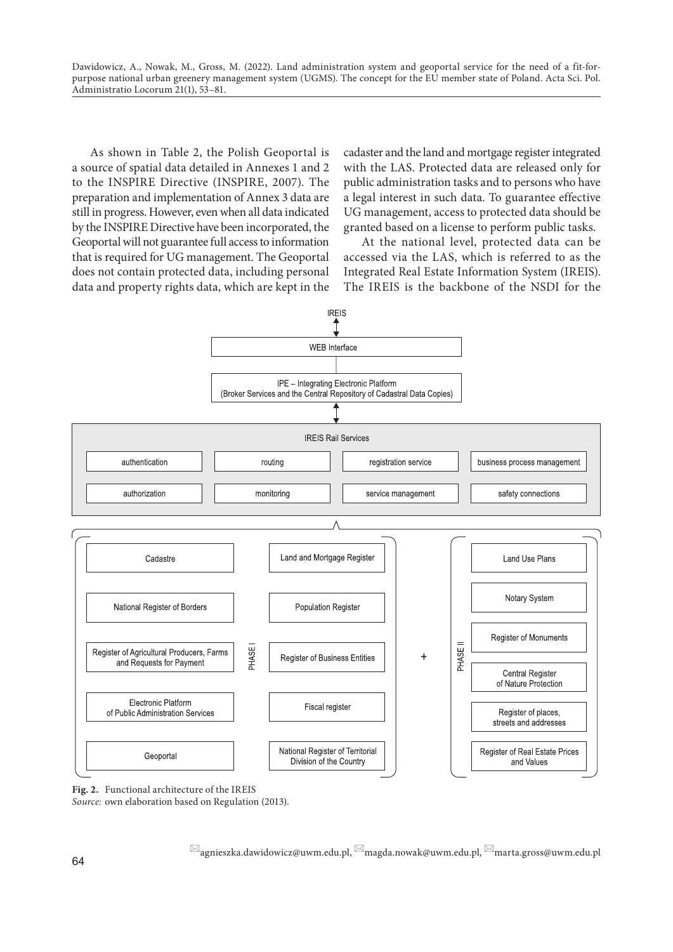As shown in Table 2, the Polish Geoportal is a source of spatial data detailed in Annexes 1 and 2 to the INSPIRE Directive (INSPIRE, 2007). The preparation and implementation of Annex 3 data are still in progress. However, even when all data indicated by the INSPIRE Directive have been incorporated, the Geoportal will not guarantee full access to information that is required for UG management. The Geoportal does not contain protected data, including personal data and property rights data, which are kept in the

cadaster and the land and mortgage register integrated with the LAS. Protected data are released only for public administration tasks and to persons who have a legal interest in such data. To guarantee effective UG management, access to protected data should be granted based on a license to perform public tasks.

At the national level, protected data can be accessed via the LAS, which is referred to as the Integrated Real Estate Information System (IREIS). The IREIS is the backbone of the NSDI for the



**Fig. 2.** Functional architecture of the IREIS

*Source:* own elaboration based on Regulation (2013).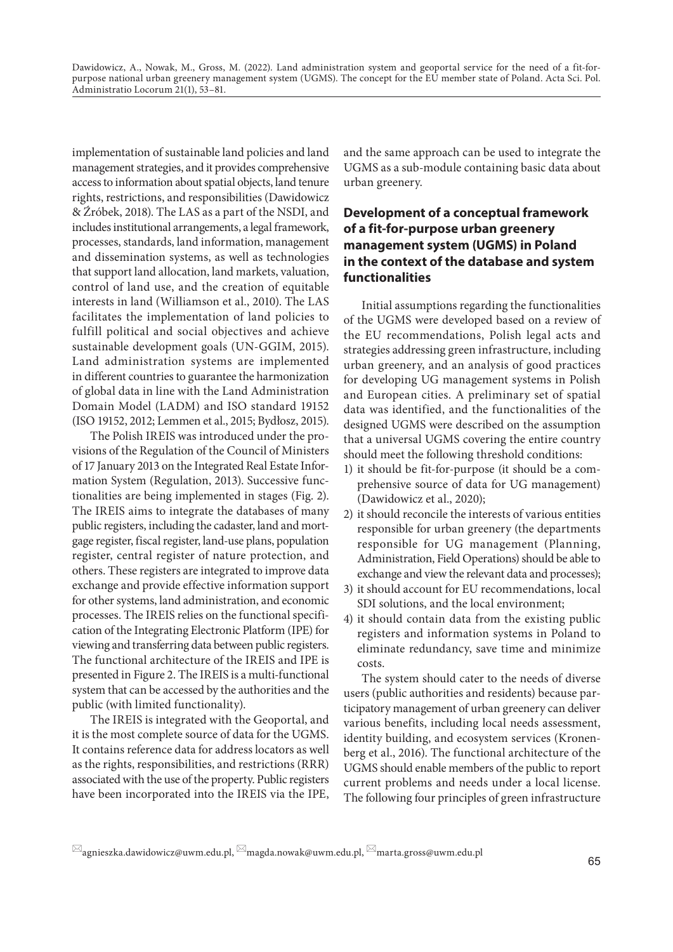implementation of sustainable land policies and land management strategies, and it provides comprehensive access to information about spatial objects, land tenure rights, restrictions, and responsibilities (Dawidowicz & Źróbek, 2018). The LAS as a part of the NSDI, and includes institutional arrangements, a legal framework, processes, standards, land information, management and dissemination systems, as well as technologies that support land allocation, land markets, valuation, control of land use, and the creation of equitable interests in land (Williamson et al., 2010). The LAS facilitates the implementation of land policies to fulfill political and social objectives and achieve sustainable development goals (UN-GGIM, 2015). Land administration systems are implemented in different countries to guarantee the harmonization of global data in line with the Land Administration Domain Model (LADM) and ISO standard 19152 (ISO 19152, 2012; Lemmen et al., 2015; Bydłosz, 2015).

The Polish IREIS was introduced under the provisions of the Regulation of the Council of Ministers of 17 January 2013 on the Integrated Real Estate Information System (Regulation, 2013). Successive functionalities are being implemented in stages (Fig. 2). The IREIS aims to integrate the databases of many public registers, including the cadaster, land and mortgage register, fiscal register, land-use plans, population register, central register of nature protection, and others. These registers are integrated to improve data exchange and provide effective information support for other systems, land administration, and economic processes. The IREIS relies on the functional specification of the Integrating Electronic Platform (IPE) for viewing and transferring data between public registers. The functional architecture of the IREIS and IPE is presented in Figure 2. The IREIS is a multi-functional system that can be accessed by the authorities and the public (with limited functionality).

The IREIS is integrated with the Geoportal, and it is the most complete source of data for the UGMS. It contains reference data for address locators as well as the rights, responsibilities, and restrictions (RRR) associated with the use of the property. Public registers have been incorporated into the IREIS via the IPE,

and the same approach can be used to integrate the UGMS as a sub-module containing basic data about urban greenery.

# **Development of a conceptual framework of a fit-for-purpose urban greenery management system (UGMS) in Poland in the context of the database and system functionalities**

Initial assumptions regarding the functionalities of the UGMS were developed based on a review of the EU recommendations, Polish legal acts and strategies addressing green infrastructure, including urban greenery, and an analysis of good practices for developing UG management systems in Polish and European cities. A preliminary set of spatial data was identified, and the functionalities of the designed UGMS were described on the assumption that a universal UGMS covering the entire country should meet the following threshold conditions:

- 1) it should be fit-for-purpose (it should be a comprehensive source of data for UG management) (Dawidowicz et al., 2020);
- 2) it should reconcile the interests of various entities responsible for urban greenery (the departments responsible for UG management (Planning, Administration, Field Operations) should be able to exchange and view the relevant data and processes);
- 3) it should account for EU recommendations, local SDI solutions, and the local environment;
- 4) it should contain data from the existing public registers and information systems in Poland to eliminate redundancy, save time and minimize costs.

The system should cater to the needs of diverse users (public authorities and residents) because participatory management of urban greenery can deliver various benefits, including local needs assessment, identity building, and ecosystem services (Kronenberg et al., 2016). The functional architecture of the UGMS should enable members of the public to report current problems and needs under a local license. The following four principles of green infrastructure

 $\boxtimes$ agnieszka.dawidowicz@uwm.edu.pl,  $\boxtimes$ magda.nowak@uwm.edu.pl,  $\boxtimes$ marta.gross@uwm.edu.pl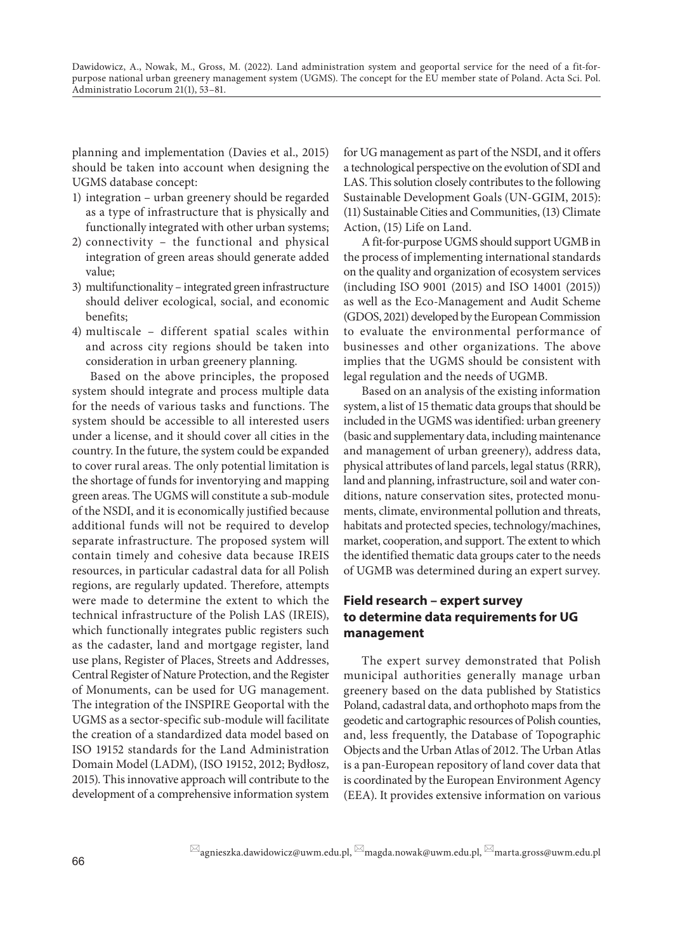planning and implementation (Davies et al., 2015) should be taken into account when designing the UGMS database concept:

- 1) integration urban greenery should be regarded as a type of infrastructure that is physically and functionally integrated with other urban systems;
- 2) connectivity the functional and physical integration of green areas should generate added value;
- 3) multifunctionality integrated green infrastructure should deliver ecological, social, and economic benefits;
- 4) multiscale different spatial scales within and across city regions should be taken into consideration in urban greenery planning.

Based on the above principles, the proposed system should integrate and process multiple data for the needs of various tasks and functions. The system should be accessible to all interested users under a license, and it should cover all cities in the country. In the future, the system could be expanded to cover rural areas. The only potential limitation is the shortage of funds for inventorying and mapping green areas. The UGMS will constitute a sub-module of the NSDI, and it is economically justified because additional funds will not be required to develop separate infrastructure. The proposed system will contain timely and cohesive data because IREIS resources, in particular cadastral data for all Polish regions, are regularly updated. Therefore, attempts were made to determine the extent to which the technical infrastructure of the Polish LAS (IREIS), which functionally integrates public registers such as the cadaster, land and mortgage register, land use plans, Register of Places, Streets and Addresses, Central Register of Nature Protection, and the Register of Monuments, can be used for UG management. The integration of the INSPIRE Geoportal with the UGMS as a sector-specific sub-module will facilitate the creation of a standardized data model based on ISO 19152 standards for the Land Administration Domain Model (LADM), (ISO 19152, 2012; Bydłosz, 2015). This innovative approach will contribute to the development of a comprehensive information system

for UG management as part of the NSDI, and it offers a technological perspective on the evolution of SDI and LAS. This solution closely contributes to the following Sustainable Development Goals (UN-GGIM, 2015): (11) Sustainable Cities and Communities, (13) Climate Action, (15) Life on Land.

A fit-for-purpose UGMS should support UGMB in the process of implementing international standards on the quality and organization of ecosystem services (including ISO 9001 (2015) and ISO 14001 (2015)) as well as the Eco-Management and Audit Scheme (GDOS, 2021) developed by the European Commission to evaluate the environmental performance of businesses and other organizations. The above implies that the UGMS should be consistent with legal regulation and the needs of UGMB.

Based on an analysis of the existing information system, a list of 15 thematic data groups that should be included in the UGMS was identified: urban greenery (basic and supplementary data, including maintenance and management of urban greenery), address data, physical attributes of land parcels, legal status (RRR), land and planning, infrastructure, soil and water conditions, nature conservation sites, protected monuments, climate, environmental pollution and threats, habitats and protected species, technology/machines, market, cooperation, and support. The extent to which the identified thematic data groups cater to the needs of UGMB was determined during an expert survey.

# **Field research – expert survey to determine data requirements for UG management**

The expert survey demonstrated that Polish municipal authorities generally manage urban greenery based on the data published by Statistics Poland, cadastral data, and orthophoto maps from the geodetic and cartographic resources of Polish counties, and, less frequently, the Database of Topographic Objects and the Urban Atlas of 2012. The Urban Atlas is a pan-European repository of land cover data that is coordinated by the European Environment Agency (EEA). It provides extensive information on various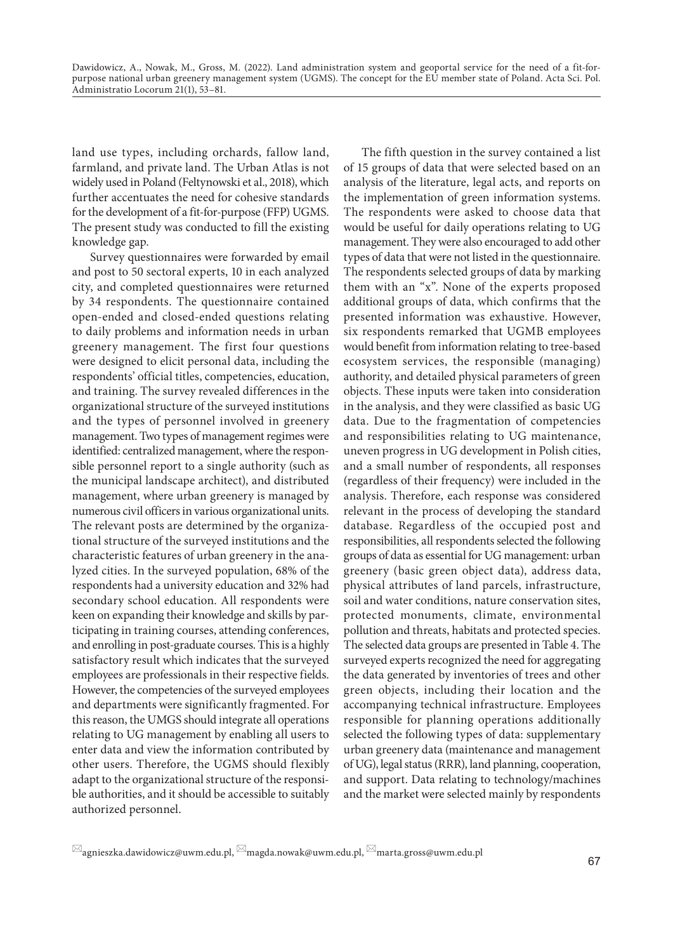land use types, including orchards, fallow land, farmland, and private land. The Urban Atlas is not widely used in Poland (Feltynowski et al., 2018), which further accentuates the need for cohesive standards for the development of a fit-for-purpose (FFP) UGMS. The present study was conducted to fill the existing knowledge gap.

Survey questionnaires were forwarded by email and post to 50 sectoral experts, 10 in each analyzed city, and completed questionnaires were returned by 34 respondents. The questionnaire contained open-ended and closed-ended questions relating to daily problems and information needs in urban greenery management. The first four questions were designed to elicit personal data, including the respondents' official titles, competencies, education, and training. The survey revealed differences in the organizational structure of the surveyed institutions and the types of personnel involved in greenery management. Two types of management regimes were identified: centralized management, where the responsible personnel report to a single authority (such as the municipal landscape architect), and distributed management, where urban greenery is managed by numerous civil officers in various organizational units. The relevant posts are determined by the organizational structure of the surveyed institutions and the characteristic features of urban greenery in the analyzed cities. In the surveyed population, 68% of the respondents had a university education and 32% had secondary school education. All respondents were keen on expanding their knowledge and skills by participating in training courses, attending conferences, and enrolling in post-graduate courses. This is a highly satisfactory result which indicates that the surveyed employees are professionals in their respective fields. However, the competencies of the surveyed employees and departments were significantly fragmented. For this reason, the UMGS should integrate all operations relating to UG management by enabling all users to enter data and view the information contributed by other users. Therefore, the UGMS should flexibly adapt to the organizational structure of the responsible authorities, and it should be accessible to suitably authorized personnel.

The fifth question in the survey contained a list of 15 groups of data that were selected based on an analysis of the literature, legal acts, and reports on the implementation of green information systems. The respondents were asked to choose data that would be useful for daily operations relating to UG management. They were also encouraged to add other types of data that were not listed in the questionnaire. The respondents selected groups of data by marking them with an "x". None of the experts proposed additional groups of data, which confirms that the presented information was exhaustive. However, six respondents remarked that UGMB employees would benefit from information relating to tree-based ecosystem services, the responsible (managing) authority, and detailed physical parameters of green objects. These inputs were taken into consideration in the analysis, and they were classified as basic UG data. Due to the fragmentation of competencies and responsibilities relating to UG maintenance, uneven progress in UG development in Polish cities, and a small number of respondents, all responses (regardless of their frequency) were included in the analysis. Therefore, each response was considered relevant in the process of developing the standard database. Regardless of the occupied post and responsibilities, all respondents selected the following groups of data as essential for UG management: urban greenery (basic green object data), address data, physical attributes of land parcels, infrastructure, soil and water conditions, nature conservation sites, protected monuments, climate, environmental pollution and threats, habitats and protected species. The selected data groups are presented in Table 4. The surveyed experts recognized the need for aggregating the data generated by inventories of trees and other green objects, including their location and the accompanying technical infrastructure. Employees responsible for planning operations additionally selected the following types of data: supplementary urban greenery data (maintenance and management of UG), legal status (RRR), land planning, cooperation, and support. Data relating to technology/machines and the market were selected mainly by respondents

 $\boxtimes$ agnieszka.dawidowicz@uwm.edu.pl,  $\boxtimes$ magda.nowak@uwm.edu.pl,  $\boxtimes$ marta.gross@uwm.edu.pl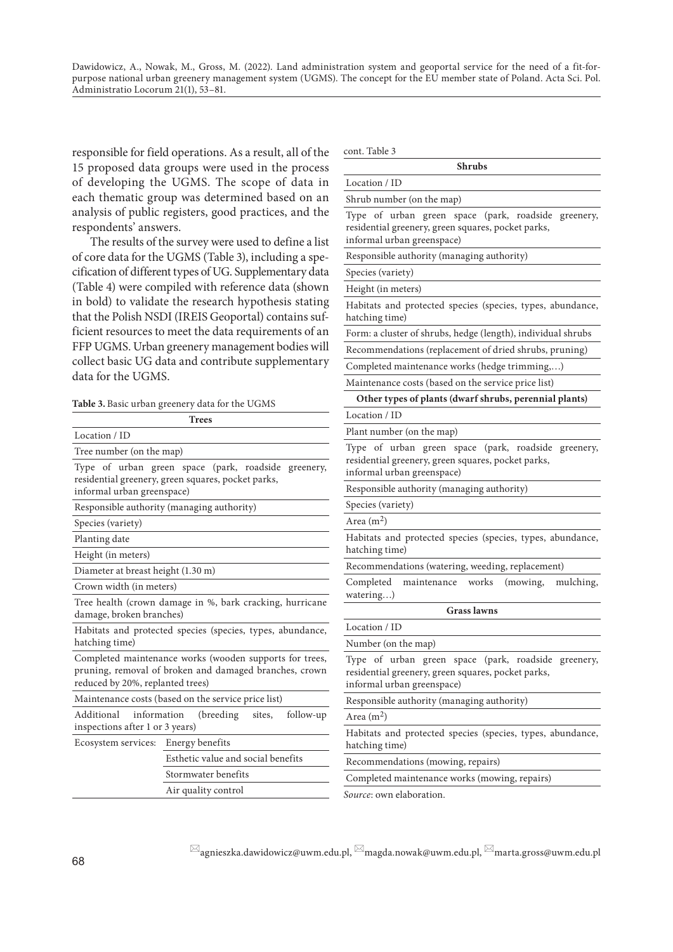responsible for field operations. As a result, all of the 15 proposed data groups were used in the process of developing the UGMS. The scope of data in each thematic group was determined based on an analysis of public registers, good practices, and the respondents' answers.

The results of the survey were used to define a list of core data for the UGMS (Table 3), including a specification of different types of UG. Supplementary data (Table 4) were compiled with reference data (shown in bold) to validate the research hypothesis stating that the Polish NSDI (IREIS Geoportal) contains sufficient resources to meet the data requirements of an FFP UGMS. Urban greenery management bodies will collect basic UG data and contribute supplementary data for the UGMS.

**Table 3.** Basic urban greenery data for the UGMS

|                                                                                                                           | <b>Trees</b>                                                                                                      |  |
|---------------------------------------------------------------------------------------------------------------------------|-------------------------------------------------------------------------------------------------------------------|--|
| Location / ID                                                                                                             |                                                                                                                   |  |
| Tree number (on the map)                                                                                                  |                                                                                                                   |  |
| informal urban greenspace)                                                                                                | Type of urban green space (park, roadside greenery,<br>residential greenery, green squares, pocket parks,         |  |
|                                                                                                                           | Responsible authority (managing authority)                                                                        |  |
| Species (variety)                                                                                                         |                                                                                                                   |  |
| Planting date                                                                                                             |                                                                                                                   |  |
| Height (in meters)                                                                                                        |                                                                                                                   |  |
| Diameter at breast height (1.30 m)                                                                                        |                                                                                                                   |  |
| Crown width (in meters)                                                                                                   |                                                                                                                   |  |
| damage, broken branches)                                                                                                  | Tree health (crown damage in %, bark cracking, hurricane                                                          |  |
| hatching time)                                                                                                            | Habitats and protected species (species, types, abundance,                                                        |  |
| reduced by 20%, replanted trees)                                                                                          | Completed maintenance works (wooden supports for trees,<br>pruning, removal of broken and damaged branches, crown |  |
|                                                                                                                           | Maintenance costs (based on the service price list)                                                               |  |
| Additional<br>information<br>follow-up<br>(breeding)<br>sites,<br>Aı<br>inspections after 1 or 3 years)<br>H <sub>i</sub> |                                                                                                                   |  |
| Ecosystem services: Energy benefits                                                                                       |                                                                                                                   |  |
|                                                                                                                           | Esthetic value and social benefits                                                                                |  |
|                                                                                                                           | Stormwater benefits                                                                                               |  |
|                                                                                                                           | Air quality control                                                                                               |  |

cont. Table 3

| <b>Shrubs</b>                                                                                                                                          |
|--------------------------------------------------------------------------------------------------------------------------------------------------------|
| Location / ID                                                                                                                                          |
| Shrub number (on the map)                                                                                                                              |
| Type of urban green space (park, roadside<br>greenery,<br>residential greenery, green squares, pocket parks,<br>informal urban greenspace)             |
| Responsible authority (managing authority)                                                                                                             |
| Species (variety)                                                                                                                                      |
| Height (in meters)                                                                                                                                     |
| Habitats and protected species (species, types, abundance,<br>hatching time)                                                                           |
| Form: a cluster of shrubs, hedge (length), individual shrubs                                                                                           |
| Recommendations (replacement of dried shrubs, pruning)                                                                                                 |
| Completed maintenance works (hedge trimming,)                                                                                                          |
| Maintenance costs (based on the service price list)                                                                                                    |
| Other types of plants (dwarf shrubs, perennial plants)                                                                                                 |
| Location / ID                                                                                                                                          |
| Plant number (on the map)                                                                                                                              |
| Type of urban green space (park, roadside<br>greenery,<br>residential greenery, green squares, pocket parks,<br>informal urban greenspace)             |
| Responsible authority (managing authority)                                                                                                             |
| Species (variety)                                                                                                                                      |
| Area $(m2)$                                                                                                                                            |
| Habitats and protected species (species, types, abundance,<br>hatching time)                                                                           |
| Recommendations (watering, weeding, replacement)                                                                                                       |
| Completed<br>maintenance<br>works<br>(mowing,<br>mulching,<br>watering)                                                                                |
| <b>Grass lawns</b>                                                                                                                                     |
| Location / ID                                                                                                                                          |
| Number (on the map)                                                                                                                                    |
| Type of urban<br>roadside<br>green<br>(park,<br>space<br>greenery,<br>residential greenery, green squares, pocket parks,<br>informal urban greenspace) |
| Responsible authority (managing authority)                                                                                                             |
| Area $(m2)$                                                                                                                                            |
| Habitats and protected species (species, types, abundance,<br>hatching time)                                                                           |
| Recommendations (mowing, repairs)                                                                                                                      |
| Completed maintenance works (mowing, repairs)                                                                                                          |
| Source: own elaboration.                                                                                                                               |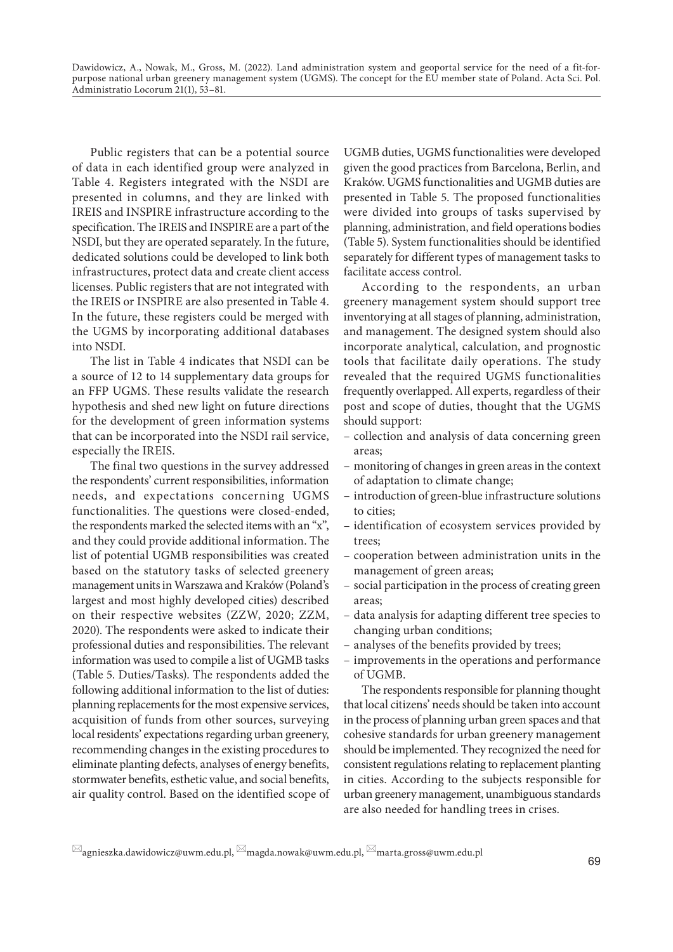Public registers that can be a potential source of data in each identified group were analyzed in Table 4. Registers integrated with the NSDI are presented in columns, and they are linked with IREIS and INSPIRE infrastructure according to the specification. The IREIS and INSPIRE are a part of the NSDI, but they are operated separately. In the future, dedicated solutions could be developed to link both infrastructures, protect data and create client access licenses. Public registers that are not integrated with the IREIS or INSPIRE are also presented in Table 4. In the future, these registers could be merged with the UGMS by incorporating additional databases into NSDI.

The list in Table 4 indicates that NSDI can be a source of 12 to 14 supplementary data groups for an FFP UGMS. These results validate the research hypothesis and shed new light on future directions for the development of green information systems that can be incorporated into the NSDI rail service, especially the IREIS.

The final two questions in the survey addressed the respondents' current responsibilities, information needs, and expectations concerning UGMS functionalities. The questions were closed-ended, the respondents marked the selected items with an "x", and they could provide additional information. The list of potential UGMB responsibilities was created based on the statutory tasks of selected greenery management units in Warszawa and Kraków (Poland's largest and most highly developed cities) described on their respective websites (ZZW, 2020; ZZM, 2020). The respondents were asked to indicate their professional duties and responsibilities. The relevant information was used to compile a list of UGMB tasks (Table 5. Duties/Tasks). The respondents added the following additional information to the list of duties: planning replacements for the most expensive services, acquisition of funds from other sources, surveying local residents' expectations regarding urban greenery, recommending changes in the existing procedures to eliminate planting defects, analyses of energy benefits, stormwater benefits, esthetic value, and social benefits, air quality control. Based on the identified scope of UGMB duties, UGMS functionalities were developed given the good practices from Barcelona, Berlin, and Kraków. UGMS functionalities and UGMB duties are presented in Table 5. The proposed functionalities were divided into groups of tasks supervised by planning, administration, and field operations bodies (Table 5). System functionalities should be identified separately for different types of management tasks to facilitate access control.

According to the respondents, an urban greenery management system should support tree inventorying at all stages of planning, administration, and management. The designed system should also incorporate analytical, calculation, and prognostic tools that facilitate daily operations. The study revealed that the required UGMS functionalities frequently overlapped. All experts, regardless of their post and scope of duties, thought that the UGMS should support:

- collection and analysis of data concerning green areas;
- monitoring of changes in green areas in the context of adaptation to climate change;
- introduction of green-blue infrastructure solutions to cities;
- identification of ecosystem services provided by trees;
- cooperation between administration units in the management of green areas;
- social participation in the process of creating green areas;
- data analysis for adapting different tree species to changing urban conditions;
- analyses of the benefits provided by trees;
- improvements in the operations and performance of UGMB.

The respondents responsible for planning thought that local citizens' needs should be taken into account in the process of planning urban green spaces and that cohesive standards for urban greenery management should be implemented. They recognized the need for consistent regulations relating to replacement planting in cities. According to the subjects responsible for urban greenery management, unambiguous standards are also needed for handling trees in crises.

 $\boxtimes$ agnieszka.dawidowicz@uwm.edu.pl,  $\boxtimes$ magda.nowak@uwm.edu.pl,  $\boxtimes$ marta.gross@uwm.edu.pl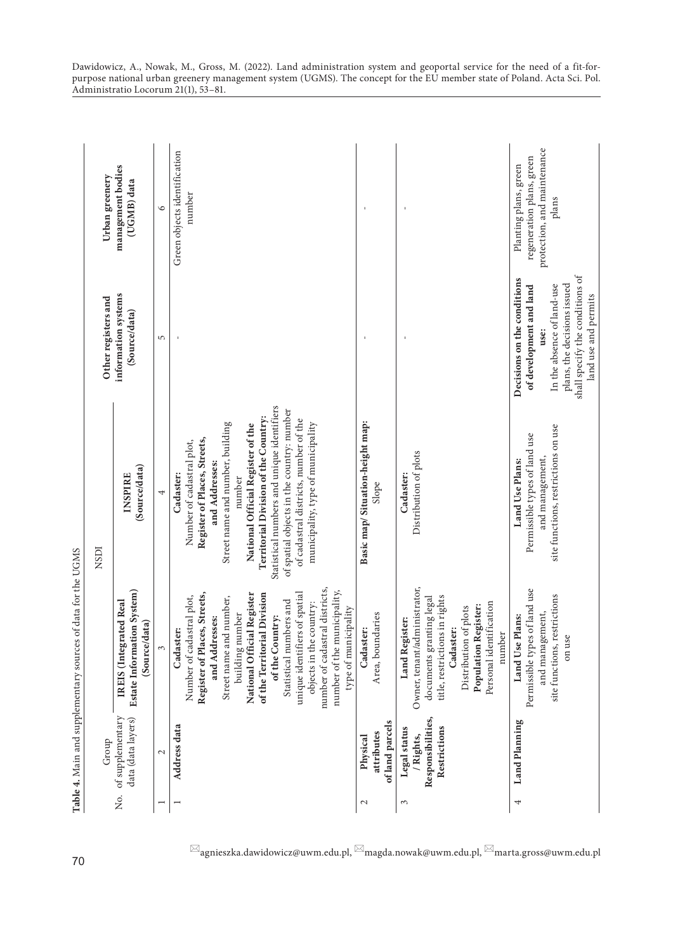|     |                                                                | Table 4. Main and supplementary sources of data for the UGMS                                                                                                                                                                                                                                                                                                                                           |                                                                                                                                                                                                                                                                                                                                                                                               |                                                                                                                                                                                        |                                                                                            |
|-----|----------------------------------------------------------------|--------------------------------------------------------------------------------------------------------------------------------------------------------------------------------------------------------------------------------------------------------------------------------------------------------------------------------------------------------------------------------------------------------|-----------------------------------------------------------------------------------------------------------------------------------------------------------------------------------------------------------------------------------------------------------------------------------------------------------------------------------------------------------------------------------------------|----------------------------------------------------------------------------------------------------------------------------------------------------------------------------------------|--------------------------------------------------------------------------------------------|
|     | Group                                                          |                                                                                                                                                                                                                                                                                                                                                                                                        | NSDI                                                                                                                                                                                                                                                                                                                                                                                          | Other registers and                                                                                                                                                                    | Urban greenery                                                                             |
| Σó. | of supplementary<br>data (data layers)                         | Estate Information System)<br>IREIS (Integrated Real<br>(Source/data)                                                                                                                                                                                                                                                                                                                                  | (Source/data)<br><b>INSPIRE</b>                                                                                                                                                                                                                                                                                                                                                               | information systems<br>(Source/data)                                                                                                                                                   | management bodies<br>(UGMB) data                                                           |
|     | $\mathcal{L}$                                                  | $\infty$                                                                                                                                                                                                                                                                                                                                                                                               | 4                                                                                                                                                                                                                                                                                                                                                                                             | 5                                                                                                                                                                                      | $\circ$                                                                                    |
| Η   | Address data                                                   | number of cadastral districts,<br>number of the municipality,<br>unique identifiers of spatial<br>National Official Register<br>Register of Places, Streets,<br>of the Territorial Division<br>Number of cadastral plot,<br>Street name and number,<br>Statistical numbers and<br>objects in the country:<br>type of municipality<br>building number<br>of the Country:<br>and Addresses:<br>Cadaster: | Statistical numbers and unique identifiers<br>of spatial objects in the country: number<br>Territorial Division of the Country:<br>of cadastral districts, number of the<br>Street name and number, building<br>municipality, type of municipality<br>National Official Register of the<br>Register of Places, Streets,<br>Number of cadastral plot,<br>and Addresses:<br>Cadaster:<br>number |                                                                                                                                                                                        | Green objects identification<br>number                                                     |
| 2   | of land parcels<br>attributes<br>Physical                      | Area, boundaries<br>Cadaster:                                                                                                                                                                                                                                                                                                                                                                          | Basic map/Situation-height map:<br>Slope                                                                                                                                                                                                                                                                                                                                                      |                                                                                                                                                                                        |                                                                                            |
| 3   | Responsibilities,<br>Restrictions<br>Legal status<br>/ Rights, | Owner, tenant/administrator,<br>title, restrictions in rights<br>documents granting legal<br>Personal identification<br><b>Population Register:</b><br>Distribution of plots<br>Land Register:<br>Cadaster:<br>ber<br>numl                                                                                                                                                                             | Distribution of plots<br>Cadaster:                                                                                                                                                                                                                                                                                                                                                            |                                                                                                                                                                                        |                                                                                            |
| 4   | Land Planning                                                  | Permissible types of land use<br>site functions, restrictions<br>and management,<br>Land Use Plans:<br>on use                                                                                                                                                                                                                                                                                          | site functions, restrictions on use<br>Permissible types of land use<br>and management,<br>Land Use Plans:                                                                                                                                                                                                                                                                                    | shall specify the conditions of<br>Decisions on the conditions<br>plans, the decisions issued<br>In the absence of land-use<br>of development and land<br>land use and permits<br>use: | protection, and maintenance<br>regeneration plans, green<br>Planting plans, green<br>plans |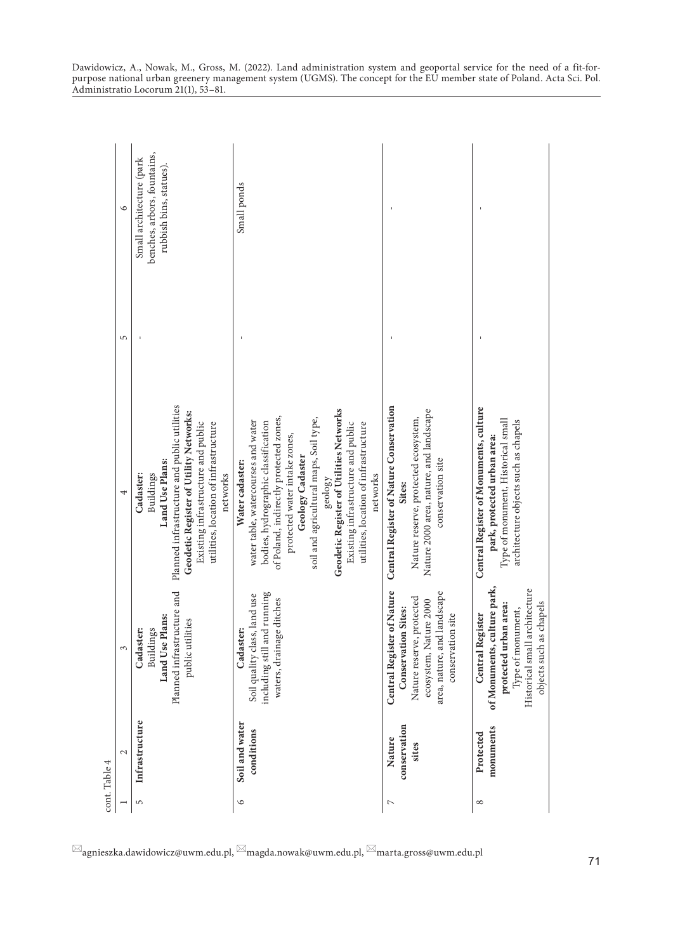|            | cont. Table 4                   |                                                                                                                                                                            |                                                                                                                                                                                                                                                                                                                                                                                         |   |                                                                                    |
|------------|---------------------------------|----------------------------------------------------------------------------------------------------------------------------------------------------------------------------|-----------------------------------------------------------------------------------------------------------------------------------------------------------------------------------------------------------------------------------------------------------------------------------------------------------------------------------------------------------------------------------------|---|------------------------------------------------------------------------------------|
|            | $\mathcal{L}$                   | 3                                                                                                                                                                          |                                                                                                                                                                                                                                                                                                                                                                                         | 5 | $\circ$                                                                            |
| 5          | Infrastructure                  | Planned infrastructure and<br>Land Use Plans:<br>public utilities<br>Cadaster:<br>Buildings                                                                                | Planned infrastructure and public utilities<br>Geodetic Register of Utility Networks:<br>Existing infrastructure and public<br>utilities, location of infrastructure<br>Land Use Plans:<br>Cadaster:<br>Buildings<br>networks                                                                                                                                                           |   | benches, arbors, fountains,<br>Small architecture (park<br>rubbish bins, statues). |
| $\circ$    | Soil and water<br>conditions    | including still and running<br>Soil quality class, land use<br>waters, drainage ditches<br>Cadaster:                                                                       | Geodetic Register of Utilities Networks<br>of Poland, indirectly protected zones,<br>soil and agricultural maps, Soil type,<br>water table, watercourses and water<br>bodies, hydrographic classification<br>Existing infrastructure and public<br>utilities, location of infrastructure<br>protected water intake zones,<br>Geology Cadaster<br>Water cadaster:<br>networks<br>geology |   | Small ponds                                                                        |
| N          | conservation<br>Nature<br>sites | <b>Central Register of Nature</b><br>area, nature, and landscape<br>Nature reserve, protected<br>ecosystem, Nature 2000<br><b>Conservation Sites:</b><br>conservation site | Central Register of Nature Conservation<br>Nature 2000 area, nature, and landscape<br>Nature reserve, protected ecosystem,<br>conservation site<br>Sites:                                                                                                                                                                                                                               |   |                                                                                    |
| $^{\circ}$ | monuments<br>Protected          | of Monuments, culture park,<br>Historical small architecture<br>as chapels<br>protected urban area:<br>Type of monument,<br><b>Central Register</b><br>objects such        | Central Register of Monuments, culture<br>Type of monument, Historical small<br>architecture objects such as chapels<br>park, protected urban area:                                                                                                                                                                                                                                     |   |                                                                                    |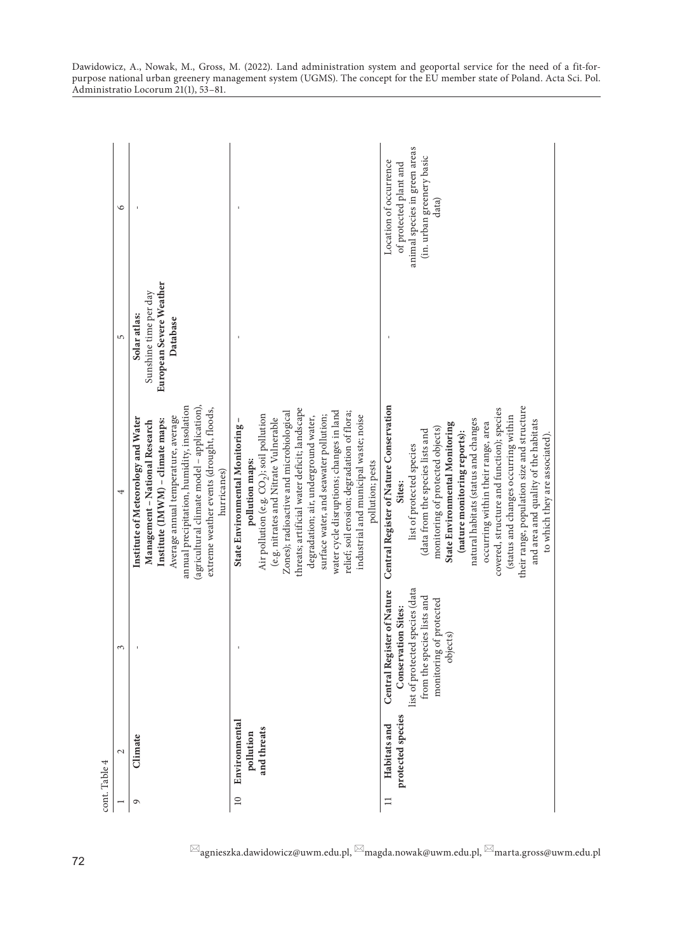| cont. Table 4   |                                           |                                                                                                                                                                  |                                                                                                                                                                                                                                                                                                                                                                                                                                                                                                                    |                                                                              |                                                                                                                         |
|-----------------|-------------------------------------------|------------------------------------------------------------------------------------------------------------------------------------------------------------------|--------------------------------------------------------------------------------------------------------------------------------------------------------------------------------------------------------------------------------------------------------------------------------------------------------------------------------------------------------------------------------------------------------------------------------------------------------------------------------------------------------------------|------------------------------------------------------------------------------|-------------------------------------------------------------------------------------------------------------------------|
|                 | $\mathbf 2$                               | 3                                                                                                                                                                | 4                                                                                                                                                                                                                                                                                                                                                                                                                                                                                                                  | 5                                                                            | $\circ$                                                                                                                 |
| $\circ$         | Climate                                   |                                                                                                                                                                  | (agricultural climate model - application),<br>annual precipitation, humidity, insolation<br>extreme weather events (drought, floods,<br>Average annual temperature, average<br>Institute of Meteorology and Water<br>Institute (IMWM) - climate maps:<br>Management - National Research<br>hurricanes)                                                                                                                                                                                                            | European Severe Weather<br>Sunshine time per day<br>Solar atlas:<br>Database |                                                                                                                         |
| $\overline{10}$ | Environmental<br>and threats<br>pollution |                                                                                                                                                                  | threats; artificial water deficit; landscape<br>water cycle disruptions; changes in land<br>Zones); radioactive and microbiological<br>relief; soil erosion; degradation of flora;<br>Air pollution (e.g. CO <sub>2</sub> ); soil pollution<br>surface water, and seawater pollution;<br>industrial and municipal waste; noise<br>degradation; air, underground water,<br>(e.g. nitrates and Nitrate Vulnerable<br>State Environmental Monitoring<br>pollution; pests<br>pollution maps:                           |                                                                              |                                                                                                                         |
| $\Box$          | protected species<br>Habitats and         | list of protected species (data<br>Central Register of Nature<br>from the species lists and<br>monitoring of protected<br><b>Conservation Sites:</b><br>objects) | Central Register of Nature Conservation<br>their range, population size and structure<br>covered, structure and function); species<br>(status and changes occurring within<br>natural habitats (status and changes<br>and area and quality of the habitats<br>State Environmental Monitoring<br>occurring within their range, area<br>monitoring of protected objects)<br>(data from the species lists and<br>(nature monitoring reports):<br>to which they are associated)<br>list of protected species<br>Sites: |                                                                              | animal species in green areas<br>(in. urban greenery basic<br>Location of occurrence<br>of protected plant and<br>data) |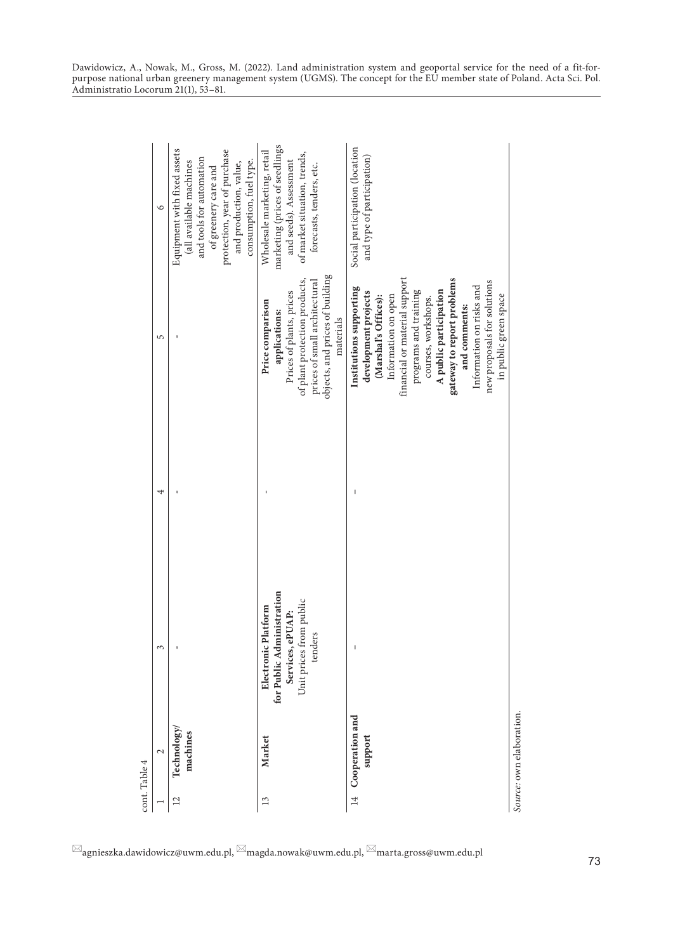|                | cont. Table 4                 |                                                                                                            |   |                                                                                                                                                                                                                                                                                                                                              |                                                                                                                                                                                                 |
|----------------|-------------------------------|------------------------------------------------------------------------------------------------------------|---|----------------------------------------------------------------------------------------------------------------------------------------------------------------------------------------------------------------------------------------------------------------------------------------------------------------------------------------------|-------------------------------------------------------------------------------------------------------------------------------------------------------------------------------------------------|
|                | $\mathcal{L}$                 | 3                                                                                                          | 4 | 5                                                                                                                                                                                                                                                                                                                                            | $\circ$                                                                                                                                                                                         |
| $\overline{c}$ | Technology/<br>machines       |                                                                                                            |   |                                                                                                                                                                                                                                                                                                                                              | Equipment with fixed assets<br>protection, year of purchase<br>and tools for automation<br>consumption, fuel type.<br>(all available machines<br>and production, value,<br>of greenery care and |
| 13             | Market                        | for Public Administration<br>Unit prices from public<br>Electronic Platform<br>Services, ePUAP:<br>tenders |   | objects, and prices of building<br>of plant protection products,<br>prices of small architectural<br>Prices of plants, prices<br>Price comparison<br>applications:<br>materials                                                                                                                                                              | marketing (prices of seedlings<br>Wholesale marketing, retail<br>of market situation, trends,<br>and seeds). Assessment<br>forecasts, tenders, etc.                                             |
|                | 14 Cooperation and<br>support | $\overline{\phantom{a}}$                                                                                   |   | financial or material support<br>gateway to report problems<br>new proposals for solutions<br>Information on risks and<br>Institutions supporting<br>programs and training<br>development projects<br>A public participation<br>in public green space<br>Information on open<br>(Marshal's Offices):<br>courses, workshops.<br>and comments: | Social participation (location<br>and type of participation)                                                                                                                                    |
|                | Source: own elaboration.      |                                                                                                            |   |                                                                                                                                                                                                                                                                                                                                              |                                                                                                                                                                                                 |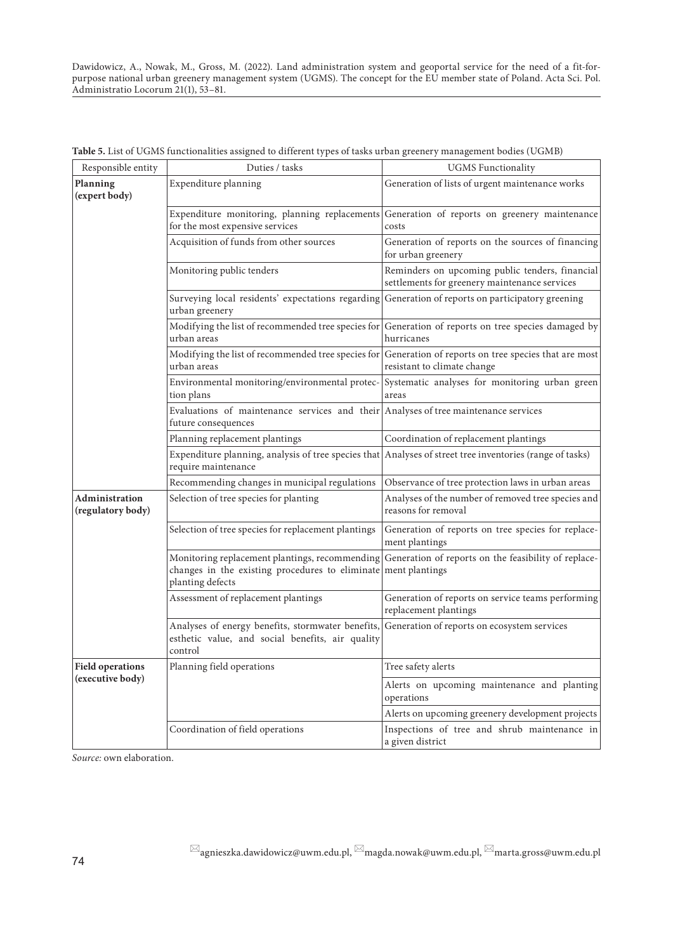| Responsible entity                  | Duties / tasks                                                                                                        | <b>UGMS</b> Functionality                                                                        |
|-------------------------------------|-----------------------------------------------------------------------------------------------------------------------|--------------------------------------------------------------------------------------------------|
| Planning<br>(expert body)           | Expenditure planning                                                                                                  | Generation of lists of urgent maintenance works                                                  |
|                                     | Expenditure monitoring, planning replacements<br>for the most expensive services                                      | Generation of reports on greenery maintenance<br>costs                                           |
|                                     | Acquisition of funds from other sources                                                                               | Generation of reports on the sources of financing<br>for urban greenery                          |
|                                     | Monitoring public tenders                                                                                             | Reminders on upcoming public tenders, financial<br>settlements for greenery maintenance services |
|                                     | Surveying local residents' expectations regarding<br>urban greenery                                                   | Generation of reports on participatory greening                                                  |
|                                     | Modifying the list of recommended tree species for<br>urban areas                                                     | Generation of reports on tree species damaged by<br>hurricanes                                   |
|                                     | Modifying the list of recommended tree species for<br>urban areas                                                     | Generation of reports on tree species that are most<br>resistant to climate change               |
|                                     | Environmental monitoring/environmental protec-<br>tion plans                                                          | Systematic analyses for monitoring urban green<br>areas                                          |
|                                     | Evaluations of maintenance services and their Analyses of tree maintenance services<br>future consequences            |                                                                                                  |
|                                     | Planning replacement plantings                                                                                        | Coordination of replacement plantings                                                            |
|                                     | Expenditure planning, analysis of tree species that<br>require maintenance                                            | Analyses of street tree inventories (range of tasks)                                             |
|                                     | Recommending changes in municipal regulations                                                                         | Observance of tree protection laws in urban areas                                                |
| Administration<br>(regulatory body) | Selection of tree species for planting                                                                                | Analyses of the number of removed tree species and<br>reasons for removal                        |
|                                     | Selection of tree species for replacement plantings                                                                   | Generation of reports on tree species for replace-<br>ment plantings                             |
|                                     | Monitoring replacement plantings, recommending<br>changes in the existing procedures to eliminate<br>planting defects | Generation of reports on the feasibility of replace-<br>ment plantings                           |
|                                     | Assessment of replacement plantings                                                                                   | Generation of reports on service teams performing<br>replacement plantings                       |
|                                     | Analyses of energy benefits, stormwater benefits,<br>esthetic value, and social benefits, air quality<br>control      | Generation of reports on ecosystem services                                                      |
| <b>Field operations</b>             | Planning field operations                                                                                             | Tree safety alerts                                                                               |
| (executive body)                    |                                                                                                                       | Alerts on upcoming maintenance and planting<br>operations                                        |
|                                     |                                                                                                                       | Alerts on upcoming greenery development projects                                                 |
|                                     | Coordination of field operations                                                                                      | Inspections of tree and shrub maintenance in<br>a given district                                 |

**Table 5.** List of UGMS functionalities assigned to different types of tasks urban greenery management bodies (UGMB)

*Source:* own elaboration.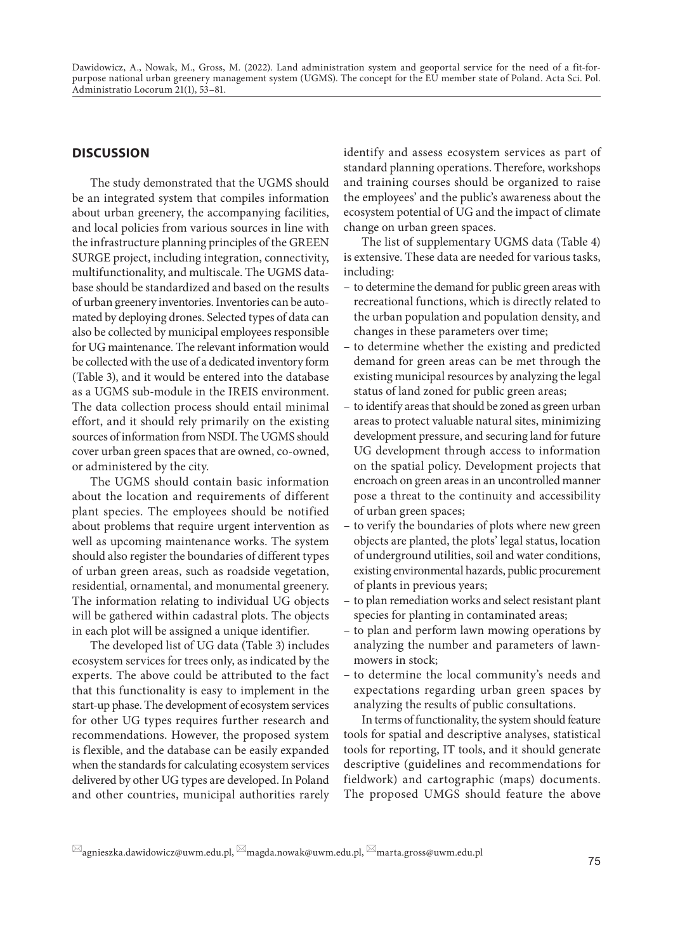#### **DISCUSSION**

The study demonstrated that the UGMS should be an integrated system that compiles information about urban greenery, the accompanying facilities, and local policies from various sources in line with the infrastructure planning principles of the GREEN SURGE project, including integration, connectivity, multifunctionality, and multiscale. The UGMS database should be standardized and based on the results of urban greenery inventories. Inventories can be automated by deploying drones. Selected types of data can also be collected by municipal employees responsible for UG maintenance. The relevant information would be collected with the use of a dedicated inventory form (Table 3), and it would be entered into the database as a UGMS sub-module in the IREIS environment. The data collection process should entail minimal effort, and it should rely primarily on the existing sources of information from NSDI. The UGMS should cover urban green spaces that are owned, co-owned, or administered by the city.

The UGMS should contain basic information about the location and requirements of different plant species. The employees should be notified about problems that require urgent intervention as well as upcoming maintenance works. The system should also register the boundaries of different types of urban green areas, such as roadside vegetation, residential, ornamental, and monumental greenery. The information relating to individual UG objects will be gathered within cadastral plots. The objects in each plot will be assigned a unique identifier.

The developed list of UG data (Table 3) includes ecosystem services for trees only, as indicated by the experts. The above could be attributed to the fact that this functionality is easy to implement in the start-up phase. The development of ecosystem services for other UG types requires further research and recommendations. However, the proposed system is flexible, and the database can be easily expanded when the standards for calculating ecosystem services delivered by other UG types are developed. In Poland and other countries, municipal authorities rarely

identify and assess ecosystem services as part of standard planning operations. Therefore, workshops and training courses should be organized to raise the employees' and the public's awareness about the ecosystem potential of UG and the impact of climate change on urban green spaces.

The list of supplementary UGMS data (Table 4) is extensive. These data are needed for various tasks, including:

- to determine the demand for public green areas with recreational functions, which is directly related to the urban population and population density, and changes in these parameters over time;
- to determine whether the existing and predicted demand for green areas can be met through the existing municipal resources by analyzing the legal status of land zoned for public green areas;
- to identify areas that should be zoned as green urban areas to protect valuable natural sites, minimizing development pressure, and securing land for future UG development through access to information on the spatial policy. Development projects that encroach on green areas in an uncontrolled manner pose a threat to the continuity and accessibility of urban green spaces;
- to verify the boundaries of plots where new green objects are planted, the plots' legal status, location of underground utilities, soil and water conditions, existing environmental hazards, public procurement of plants in previous years;
- to plan remediation works and select resistant plant species for planting in contaminated areas;
- to plan and perform lawn mowing operations by analyzing the number and parameters of lawnmowers in stock;
- to determine the local community's needs and expectations regarding urban green spaces by analyzing the results of public consultations.

In terms of functionality, the system should feature tools for spatial and descriptive analyses, statistical tools for reporting, IT tools, and it should generate descriptive (guidelines and recommendations for fieldwork) and cartographic (maps) documents. The proposed UMGS should feature the above

 $\boxtimes$ agnieszka.dawidowicz@uwm.edu.pl,  $\boxtimes$ magda.nowak@uwm.edu.pl,  $\boxtimes$ marta.gross@uwm.edu.pl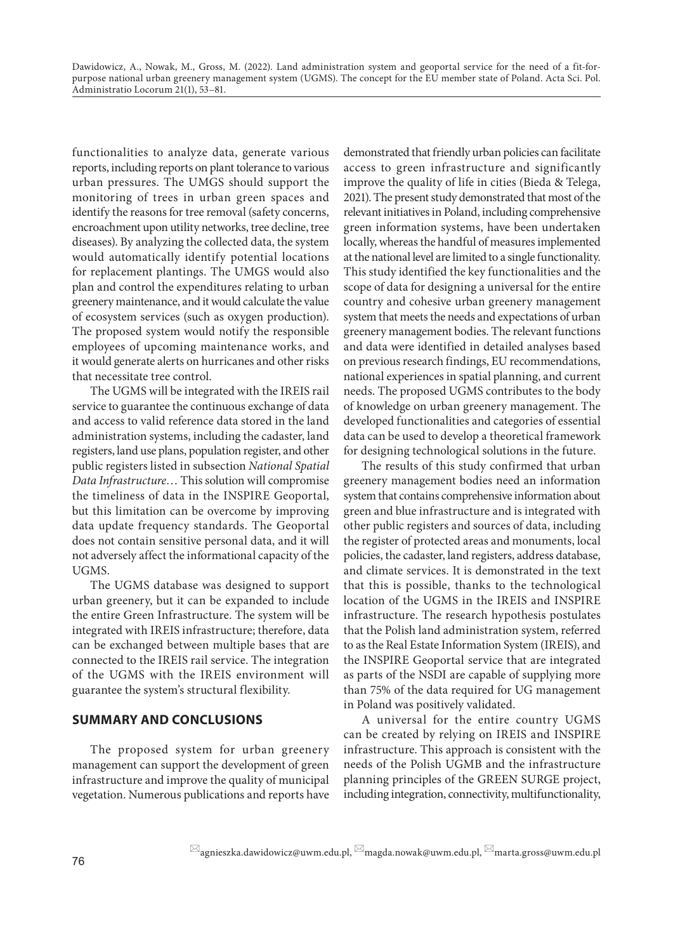functionalities to analyze data, generate various reports, including reports on plant tolerance to various urban pressures. The UMGS should support the monitoring of trees in urban green spaces and identify the reasons for tree removal (safety concerns, encroachment upon utility networks, tree decline, tree diseases). By analyzing the collected data, the system would automatically identify potential locations for replacement plantings. The UMGS would also plan and control the expenditures relating to urban greenery maintenance, and it would calculate the value of ecosystem services (such as oxygen production). The proposed system would notify the responsible employees of upcoming maintenance works, and it would generate alerts on hurricanes and other risks that necessitate tree control.

The UGMS will be integrated with the IREIS rail service to guarantee the continuous exchange of data and access to valid reference data stored in the land administration systems, including the cadaster, land registers, land use plans, population register, and other public registers listed in subsection *National Spatial Data Infrastructure*… This solution will compromise the timeliness of data in the INSPIRE Geoportal, but this limitation can be overcome by improving data update frequency standards. The Geoportal does not contain sensitive personal data, and it will not adversely affect the informational capacity of the UGMS.

The UGMS database was designed to support urban greenery, but it can be expanded to include the entire Green Infrastructure. The system will be integrated with IREIS infrastructure; therefore, data can be exchanged between multiple bases that are connected to the IREIS rail service. The integration of the UGMS with the IREIS environment will guarantee the system's structural flexibility.

# **SUMMARY AND CONCLUSIONS**

The proposed system for urban greenery management can support the development of green infrastructure and improve the quality of municipal vegetation. Numerous publications and reports have

demonstrated that friendly urban policies can facilitate access to green infrastructure and significantly improve the quality of life in cities (Bieda & Telega, 2021). The present study demonstrated that most of the relevant initiatives in Poland, including comprehensive green information systems, have been undertaken locally, whereas the handful of measures implemented at the national level are limited to a single functionality. This study identified the key functionalities and the scope of data for designing a universal for the entire country and cohesive urban greenery management system that meets the needs and expectations of urban greenery management bodies. The relevant functions and data were identified in detailed analyses based on previous research findings, EU recommendations, national experiences in spatial planning, and current needs. The proposed UGMS contributes to the body of knowledge on urban greenery management. The developed functionalities and categories of essential data can be used to develop a theoretical framework for designing technological solutions in the future.

The results of this study confirmed that urban greenery management bodies need an information system that contains comprehensive information about green and blue infrastructure and is integrated with other public registers and sources of data, including the register of protected areas and monuments, local policies, the cadaster, land registers, address database, and climate services. It is demonstrated in the text that this is possible, thanks to the technological location of the UGMS in the IREIS and INSPIRE infrastructure. The research hypothesis postulates that the Polish land administration system, referred to as the Real Estate Information System (IREIS), and the INSPIRE Geoportal service that are integrated as parts of the NSDI are capable of supplying more than 75% of the data required for UG management in Poland was positively validated.

A universal for the entire country UGMS can be created by relying on IREIS and INSPIRE infrastructure. This approach is consistent with the needs of the Polish UGMB and the infrastructure planning principles of the GREEN SURGE project, including integration, connectivity, multifunctionality,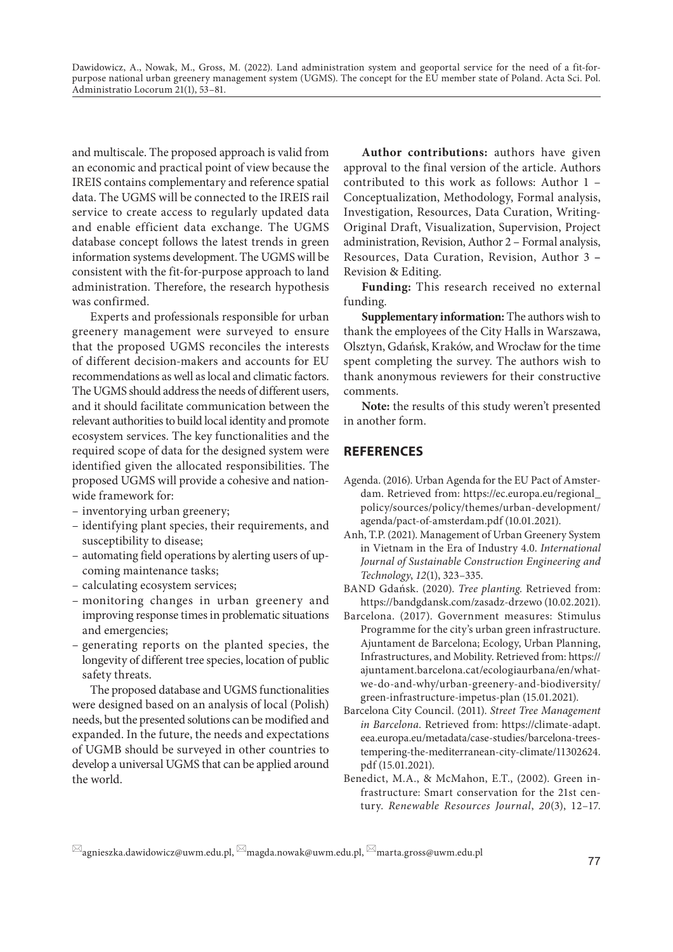and multiscale. The proposed approach is valid from an economic and practical point of view because the IREIS contains complementary and reference spatial data. The UGMS will be connected to the IREIS rail service to create access to regularly updated data and enable efficient data exchange. The UGMS database concept follows the latest trends in green information systems development. The UGMS will be consistent with the fit-for-purpose approach to land administration. Therefore, the research hypothesis was confirmed.

Experts and professionals responsible for urban greenery management were surveyed to ensure that the proposed UGMS reconciles the interests of different decision-makers and accounts for EU recommendations as well as local and climatic factors. The UGMS should address the needs of different users, and it should facilitate communication between the relevant authorities to build local identity and promote ecosystem services. The key functionalities and the required scope of data for the designed system were identified given the allocated responsibilities. The proposed UGMS will provide a cohesive and nationwide framework for:

- inventorying urban greenery;
- identifying plant species, their requirements, and susceptibility to disease;
- automating field operations by alerting users of upcoming maintenance tasks;
- calculating ecosystem services;
- monitoring changes in urban greenery and improving response times in problematic situations and emergencies;
- generating reports on the planted species, the longevity of different tree species, location of public safety threats.

The proposed database and UGMS functionalities were designed based on an analysis of local (Polish) needs, but the presented solutions can be modified and expanded. In the future, the needs and expectations of UGMB should be surveyed in other countries to develop a universal UGMS that can be applied around the world.

**Author contributions:** authors have given approval to the final version of the article. Authors contributed to this work as follows: Author 1 – Conceptualization, Methodology, Formal analysis, Investigation, Resources, Data Curation, Writing-Original Draft, Visualization, Supervision, Project administration, Revision, Author 2 – Formal analysis, Resources, Data Curation, Revision, Author 3 **–** Revision & Editing.

**Funding:** This research received no external funding.

**Supplementary information:** The authors wish to thank the employees of the City Halls in Warszawa, Olsztyn, Gdańsk, Kraków, and Wrocław for the time spent completing the survey. The authors wish to thank anonymous reviewers for their constructive comments.

**Note:** the results of this study weren't presented in another form.

#### **REFERENCES**

- Agenda. (2016). Urban Agenda for the EU Pact of Amsterdam. Retrieved from: https://ec.europa.eu/regional\_ policy/sources/policy/themes/urban-development/ agenda/pact-of-amsterdam.pdf (10.01.2021).
- Anh, T.P. (2021). Management of Urban Greenery System in Vietnam in the Era of Industry 4.0. *International Journal of Sustainable Construction Engineering and Technology*, *12*(1), 323–335.
- BAND Gdańsk. (2020). *Tree planting*. Retrieved from: https://bandgdansk.com/zasadz-drzewo (10.02.2021).
- Barcelona. (2017). Government measures: Stimulus Programme for the city's urban green infrastructure. Ajuntament de Barcelona; Ecology, Urban Planning, Infrastructures, and Mobility. Retrieved from: https:// ajuntament.barcelona.cat/ecologiaurbana/en/whatwe-do-and-why/urban-greenery-and-biodiversity/ green-infrastructure-impetus-plan (15.01.2021).
- Barcelona City Council. (2011). *Street Tree Management in Barcelona*. Retrieved from: https://climate-adapt. eea.europa.eu/metadata/case-studies/barcelona-treestempering-the-mediterranean-city-climate/11302624. pdf (15.01.2021).
- Benedict, M.A., & McMahon, E.T., (2002). Green infrastructure: Smart conservation for the 21st century. *Renewable Resources Journal*, *20*(3), 12–17.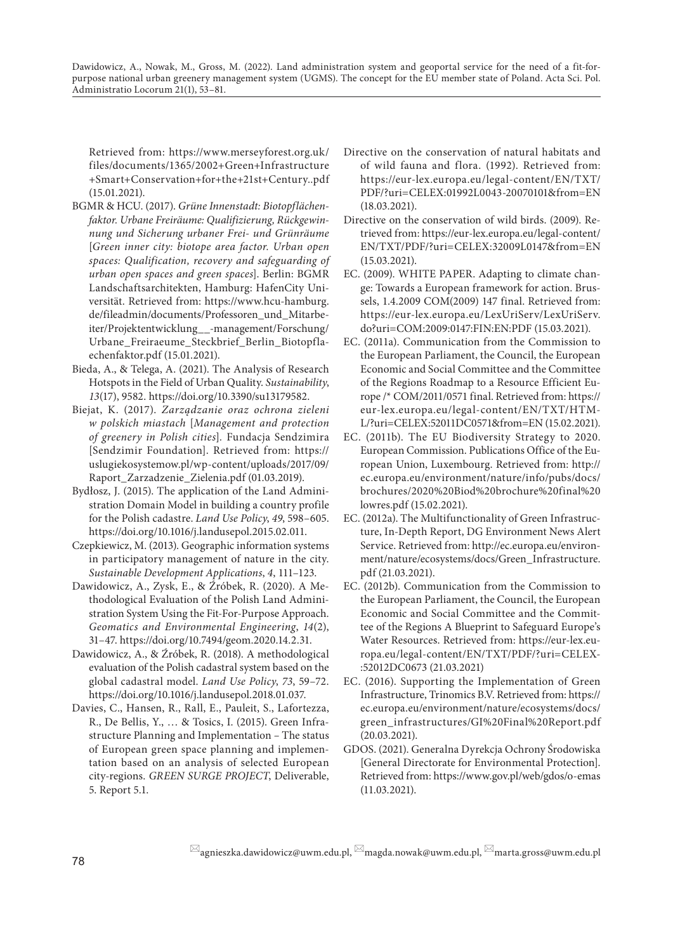Retrieved from: https://www.merseyforest.org.uk/ files/documents/1365/2002+Green+Infrastructure +Smart+Conservation+for+the+21st+Century..pdf (15.01.2021).

- BGMR & HCU. (2017). *Grüne Innenstadt: Biotopflächenfaktor. Urbane Freiräume: Qualifizierung, Rückgewinnung und Sicherung urbaner Frei- und Grünräume* [*Green inner city: biotope area factor. Urban open spaces: Qualification, recovery and safeguarding of urban open spaces and green spaces*]. Berlin: BGMR Landschaftsarchitekten, Hamburg: HafenCity Universität. Retrieved from: https://www.hcu-hamburg. de/fileadmin/documents/Professoren\_und\_Mitarbeiter/Projektentwicklung\_\_-management/Forschung/ Urbane\_Freiraeume\_Steckbrief\_Berlin\_Biotopflaechenfaktor.pdf (15.01.2021).
- Bieda, A., & Telega, A. (2021). The Analysis of Research Hotspots in the Field of Urban Quality. *Sustainability*, *13*(17), 9582. https://doi.org/10.3390/su13179582.
- Biejat, K. (2017). *Zarządzanie oraz ochrona zieleni w polskich miastach* [*Management and protection of greenery in Polish cities*]*.* Fundacja Sendzimira [Sendzimir Foundation]. Retrieved from: https:// uslugiekosystemow.pl/wp-content/uploads/2017/09/ Raport\_Zarzadzenie\_Zielenia.pdf (01.03.2019).
- Bydłosz, J. (2015). The application of the Land Administration Domain Model in building a country profile for the Polish cadastre. *Land Use Policy*, *49*, 598–605. https://doi.org/10.1016/j.landusepol.2015.02.011.
- Czepkiewicz, M. (2013). Geographic information systems in participatory management of nature in the city. *Sustainable Development Applications*, *4*, 111–123.
- Dawidowicz, A., Zysk, E., & Źróbek, R. (2020). A Methodological Evaluation of the Polish Land Administration System Using the Fit-For-Purpose Approach. *Geomatics and Environmental Engineering*, *14*(2), 31–47. https://doi.org/10.7494/geom.2020.14.2.31.
- Dawidowicz, A., & Źróbek, R. (2018). A methodological evaluation of the Polish cadastral system based on the global cadastral model. *Land Use Policy*, *73*, 59–72. https://doi.org/10.1016/j.landusepol.2018.01.037.
- Davies, C., Hansen, R., Rall, E., Pauleit, S., Lafortezza, R., De Bellis, Y., … & Tosics, I. (2015). Green Infrastructure Planning and Implementation *–* The status of European green space planning and implementation based on an analysis of selected European city-regions. *GREEN SURGE PROJECT*, Deliverable, 5. Report 5.1.
- Directive on the conservation of natural habitats and of wild fauna and flora. (1992). Retrieved from: https://eur-lex.europa.eu/legal-content/EN/TXT/ PDF/?uri=CELEX:01992L0043-20070101&from=EN (18.03.2021).
- Directive on the conservation of wild birds. (2009). Retrieved from: https://eur-lex.europa.eu/legal-content/ EN/TXT/PDF/?uri=CELEX:32009L0147&from=EN (15.03.2021).
- EC. (2009). WHITE PAPER. Adapting to climate change: Towards a European framework for action. Brussels, 1.4.2009 COM(2009) 147 final. Retrieved from: https://eur-lex.europa.eu/LexUriServ/LexUriServ. do?uri=COM:2009:0147:FIN:EN:PDF (15.03.2021).
- EC. (2011a). Communication from the Commission to the European Parliament, the Council, the European Economic and Social Committee and the Committee of the Regions Roadmap to a Resource Efficient Europe /\* COM/2011/0571 final. Retrieved from: https:// eur-lex.europa.eu/legal-content/EN/TXT/HTM-L/?uri=CELEX:52011DC0571&from=EN (15.02.2021).
- EC. (2011b). The EU Biodiversity Strategy to 2020. European Commission. Publications Office of the European Union, Luxembourg. Retrieved from: http:// ec.europa.eu/environment/nature/info/pubs/docs/ brochures/2020%20Biod%20brochure%20final%20 lowres.pdf (15.02.2021).
- EC. (2012a). The Multifunctionality of Green Infrastructure, In-Depth Report, DG Environment News Alert Service. Retrieved from: http://ec.europa.eu/environment/nature/ecosystems/docs/Green\_Infrastructure. pdf (21.03.2021).
- EC. (2012b). Communication from the Commission to the European Parliament, the Council, the European Economic and Social Committee and the Committee of the Regions A Blueprint to Safeguard Europe's Water Resources. Retrieved from: https://eur-lex.europa.eu/legal-content/EN/TXT/PDF/?uri=CELEX- :52012DC0673 (21.03.2021)
- EC. (2016). Supporting the Implementation of Green Infrastructure, Trinomics B.V. Retrieved from: https:// ec.europa.eu/environment/nature/ecosystems/docs/ green\_infrastructures/GI%20Final%20Report.pdf (20.03.2021).
- GDOS. (2021). Generalna Dyrekcja Ochrony Środowiska [General Directorate for Environmental Protection]. Retrieved from: https://www.gov.pl/web/gdos/o-emas (11.03.2021).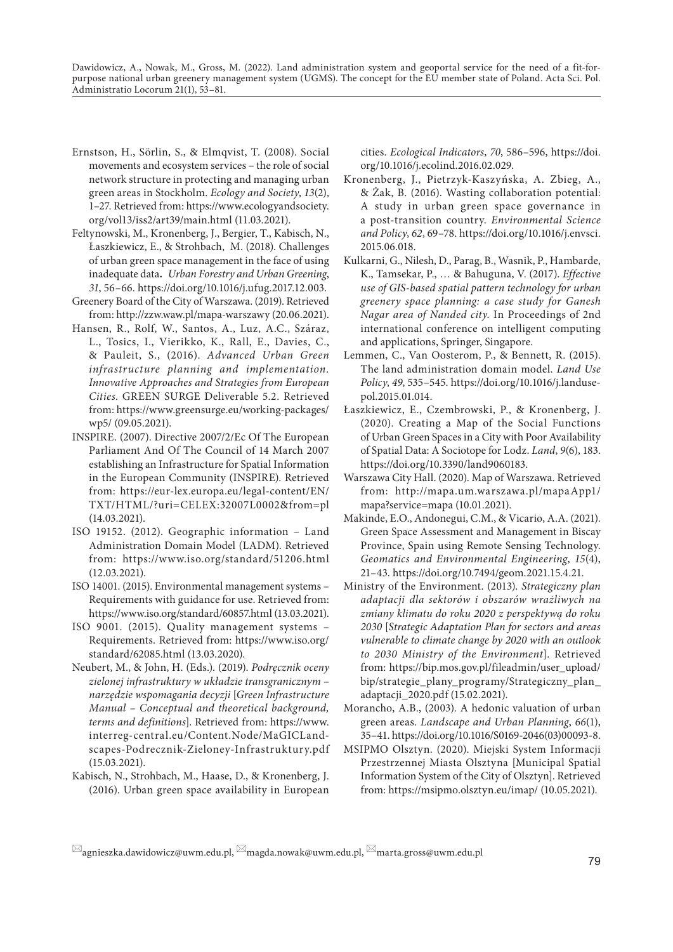- Ernstson, H., Sörlin, S., & Elmqvist, T. (2008). Social movements and ecosystem services – the role of social network structure in protecting and managing urban green areas in Stockholm. *Ecology and Society*, *13*(2), 1–27. Retrieved from: https://www.ecologyandsociety. org/vol13/iss2/art39/main.html (11.03.2021).
- Feltynowski, M., Kronenberg, J., Bergier, T., Kabisch, N., Łaszkiewicz, E., & Strohbach, M. (2018). Challenges of urban green space management in the face of using inadequate data**.** *Urban Forestry and Urban Greening*, *31*, 56–66. https://doi.org/10.1016/j.ufug.2017.12.003.
- Greenery Board of the City of Warszawa. (2019). Retrieved from: http://zzw.waw.pl/mapa-warszawy (20.06.2021).
- Hansen, R., Rolf, W., Santos, A., Luz, A.C., Száraz, L., Tosics, I., Vierikko, K., Rall, E., Davies, C., & Pauleit, S., (2016). *Advanced Urban Green infrastructure planning and implementation. Innovative Approaches and Strategies from European Cities*. GREEN SURGE Deliverable 5.2. Retrieved from: https://www.greensurge.eu/working-packages/ wp5/ (09.05.2021).
- INSPIRE. (2007). Directive 2007/2/Ec Of The European Parliament And Of The Council of 14 March 2007 establishing an Infrastructure for Spatial Information in the European Community (INSPIRE). Retrieved from: https://eur-lex.europa.eu/legal-content/EN/ TXT/HTML/?uri=CELEX:32007L0002&from=pl (14.03.2021).
- ISO 19152. (2012). Geographic information Land Administration Domain Model (LADM). Retrieved from: https://www.iso.org/standard/51206.html (12.03.2021).
- ISO 14001. (2015). Environmental management systems Requirements with guidance for use. Retrieved from: https://www.iso.org/standard/60857.html (13.03.2021).
- ISO 9001. (2015). Quality management systems Requirements. Retrieved from: https://www.iso.org/ standard/62085.html (13.03.2020).
- Neubert, M., & John, H. (Eds.). (2019). *Podręcznik oceny zielonej infrastruktury w układzie transgranicznym – narzędzie wspomagania decyzji* [*Green Infrastructure Manual – Conceptual and theoretical background, terms and definitions*]. Retrieved from: https://www. interreg-central.eu/Content.Node/MaGICLandscapes-Podrecznik-Zieloney-Infrastruktury.pdf (15.03.2021).
- Kabisch, N., Strohbach, M., Haase, D., & Kronenberg, J. (2016). Urban green space availability in European

cities. *Ecological Indicators*, *70*, 586–596, https://doi. org/10.1016/j.ecolind.2016.02.029.

- Kronenberg, J., Pietrzyk-Kaszyńska, A. Zbieg, A., & Żak, B. (2016). Wasting collaboration potential: A study in urban green space governance in a post-transition country. *Environmental Science and Policy*, *62*, 69–78. https://doi.org/10.1016/j.envsci. 2015.06.018.
- Kulkarni, G., Nilesh, D., Parag, B., Wasnik, P., Hambarde, K., Tamsekar, P., … & Bahuguna, V. (2017). *Effective use of GIS-based spatial pattern technology for urban greenery space planning: a case study for Ganesh Nagar area of Nanded city*. In Proceedings of 2nd international conference on intelligent computing and applications, Springer, Singapore.
- Lemmen, C., Van Oosterom, P., & Bennett, R. (2015). The land administration domain model. *Land Use Policy*, *49*, 535–545. https://doi.org/10.1016/j.landusepol.2015.01.014.
- Łaszkiewicz, E., Czembrowski, P., & Kronenberg, J. (2020). Creating a Map of the Social Functions of Urban Green Spaces in a City with Poor Availability of Spatial Data: A Sociotope for Lodz. *Land*, *9*(6), 183. https://doi.org/10.3390/land9060183.
- Warszawa City Hall. (2020). Map of Warszawa. Retrieved from: http://mapa.um.warszawa.pl/mapaApp1/ mapa?service=mapa (10.01.2021).
- Makinde, E.O., Andonegui, C.M., & Vicario, A.A. (2021). Green Space Assessment and Management in Biscay Province, Spain using Remote Sensing Technology. *Geomatics and Environmental Engineering*, *15*(4), 21–43. https://doi.org/10.7494/geom.2021.15.4.21.
- Ministry of the Environment. (2013). *Strategiczny plan adaptacji dla sektorów i obszarów wrażliwych na zmiany klimatu do roku 2020 z perspektywą do roku 2030* [*Strategic Adaptation Plan for sectors and areas vulnerable to climate change by 2020 with an outlook to 2030 Ministry of the Environment*]. Retrieved from: https://bip.mos.gov.pl/fileadmin/user\_upload/ bip/strategie\_plany\_programy/Strategiczny\_plan\_ adaptacji\_2020.pdf (15.02.2021).
- Morancho, A.B., (2003). A hedonic valuation of urban green areas. *Landscape and Urban Planning*, *66*(1), 35–41. https://doi.org/10.1016/S0169-2046(03)00093-8.
- MSIPMO Olsztyn. (2020). Miejski System Informacji Przestrzennej Miasta Olsztyna [Municipal Spatial Information System of the City of Olsztyn]. Retrieved from: https://msipmo.olsztyn.eu/imap/ (10.05.2021).

 $\boxtimes$ agnieszka.dawidowicz@uwm.edu.pl,  $\boxtimes$ magda.nowak@uwm.edu.pl,  $\boxtimes$ marta.gross@uwm.edu.pl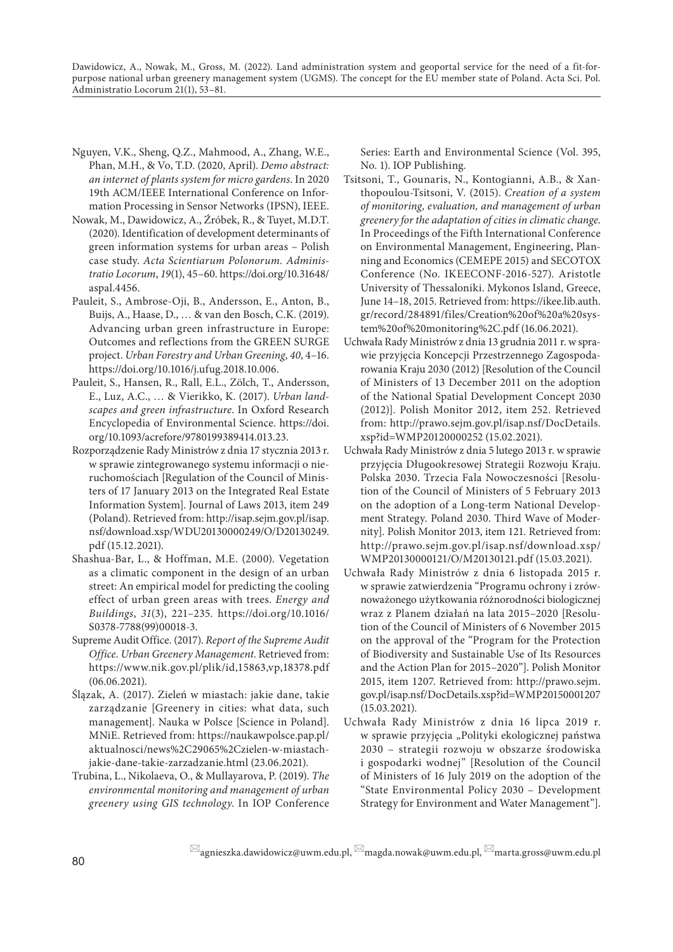- Nguyen, V.K., Sheng, Q.Z., Mahmood, A., Zhang, W.E., Phan, M.H., & Vo, T.D. (2020, April). *Demo abstract: an internet of plants system for micro gardens*. In 2020 19th ACM/IEEE International Conference on Information Processing in Sensor Networks (IPSN), IEEE.
- Nowak, M., Dawidowicz, A., Źróbek, R., & Tuyet, M.D.T. (2020). Identification of development determinants of green information systems for urban areas – Polish case study. *Acta Scientiarum Polonorum. Administratio Locorum*, *19*(1), 45–60. https://doi.org/10.31648/ aspal.4456.
- Pauleit, S., Ambrose-Oji, B., Andersson, E., Anton, B., Buijs, A., Haase, D., … & van den Bosch, C.K. (2019). Advancing urban green infrastructure in Europe: Outcomes and reflections from the GREEN SURGE project. *Urban Forestry and Urban Greening*, *40*, 4–16. https://doi.org/10.1016/j.ufug.2018.10.006.
- Pauleit, S., Hansen, R., Rall, E.L., Zölch, T., Andersson, E., Luz, A.C., … & Vierikko, K. (2017). *Urban landscapes and green infrastructure*. In Oxford Research Encyclopedia of Environmental Science. https://doi. org/10.1093/acrefore/9780199389414.013.23.
- Rozporządzenie Rady Ministrów z dnia 17 stycznia 2013 r. w sprawie zintegrowanego systemu informacji o nieruchomościach [Regulation of the Council of Ministers of 17 January 2013 on the Integrated Real Estate Information System]. Journal of Laws 2013, item 249 (Poland). Retrieved from: http://isap.sejm.gov.pl/isap. nsf/download.xsp/WDU20130000249/O/D20130249. pdf (15.12.2021).
- Shashua-Bar, L., & Hoffman, M.E. (2000). Vegetation as a climatic component in the design of an urban street: An empirical model for predicting the cooling effect of urban green areas with trees. *Energy and Buildings*, *31*(3), 221–235. https://doi.org/10.1016/ S0378-7788(99)00018-3.
- Supreme Audit Office. (2017). *Report of the Supreme Audit Office. Urban Greenery Management*. Retrieved from: https://www.nik.gov.pl/plik/id,15863,vp,18378.pdf (06.06.2021).
- Ślązak, A. (2017). Zieleń w miastach: jakie dane, takie zarządzanie [Greenery in cities: what data, such management]. Nauka w Polsce [Science in Poland]. MNiE. Retrieved from: https://naukawpolsce.pap.pl/ aktualnosci/news%2C29065%2Czielen-w-miastachjakie-dane-takie-zarzadzanie.html (23.06.2021).
- Trubina, L., Nikolaeva, O., & Mullayarova, P. (2019). *The environmental monitoring and management of urban greenery using GIS technology*. In IOP Conference

Series: Earth and Environmental Science (Vol. 395, No. 1). IOP Publishing.

- Tsitsoni, T., Gounaris, N., Kontogianni, A.B., & Xanthopoulou-Tsitsoni, V. (2015). *Creation of a system of monitoring, evaluation, and management of urban greenery for the adaptation of cities in climatic change*. In Proceedings of the Fifth International Conference on Environmental Management, Engineering, Planning and Economics (CEMEPE 2015) and SECOTOX Conference (No. IKEECONF-2016-527). Aristotle University of Thessaloniki. Mykonos Island, Greece, June 14–18, 2015. Retrieved from: https://ikee.lib.auth. gr/record/284891/files/Creation%20of%20a%20system%20of%20monitoring%2C.pdf (16.06.2021).
- Uchwała Rady Ministrów z dnia 13 grudnia 2011 r. w sprawie przyjęcia Koncepcji Przestrzennego Zagospodarowania Kraju 2030 (2012) [Resolution of the Council of Ministers of 13 December 2011 on the adoption of the National Spatial Development Concept 2030 (2012)]. Polish Monitor 2012, item 252. Retrieved from: http://prawo.sejm.gov.pl/isap.nsf/DocDetails. xsp?id=WMP20120000252 (15.02.2021).
- Uchwała Rady Ministrów z dnia 5 lutego 2013 r. w sprawie przyjęcia Długookresowej Strategii Rozwoju Kraju. Polska 2030. Trzecia Fala Nowoczesności [Resolution of the Council of Ministers of 5 February 2013 on the adoption of a Long-term National Development Strategy. Poland 2030. Third Wave of Modernity]. Polish Monitor 2013, item 121. Retrieved from: http://prawo.sejm.gov.pl/isap.nsf/download.xsp/ WMP20130000121/O/M20130121.pdf (15.03.2021).
- Uchwała Rady Ministrów z dnia 6 listopada 2015 r. w sprawie zatwierdzenia "Programu ochrony i zrównoważonego użytkowania różnorodności biologicznej wraz z Planem działań na lata 2015–2020 [Resolution of the Council of Ministers of 6 November 2015 on the approval of the "Program for the Protection of Biodiversity and Sustainable Use of Its Resources and the Action Plan for 2015–2020"]. Polish Monitor 2015, item 1207. Retrieved from: http://prawo.sejm. gov.pl/isap.nsf/DocDetails.xsp?id=WMP20150001207 (15.03.2021).
- Uchwała Rady Ministrów z dnia 16 lipca 2019 r. w sprawie przyjęcia "Polityki ekologicznej państwa 2030 – strategii rozwoju w obszarze środowiska i gospodarki wodnej" [Resolution of the Council of Ministers of 16 July 2019 on the adoption of the "State Environmental Policy 2030 – Development Strategy for Environment and Water Management"].